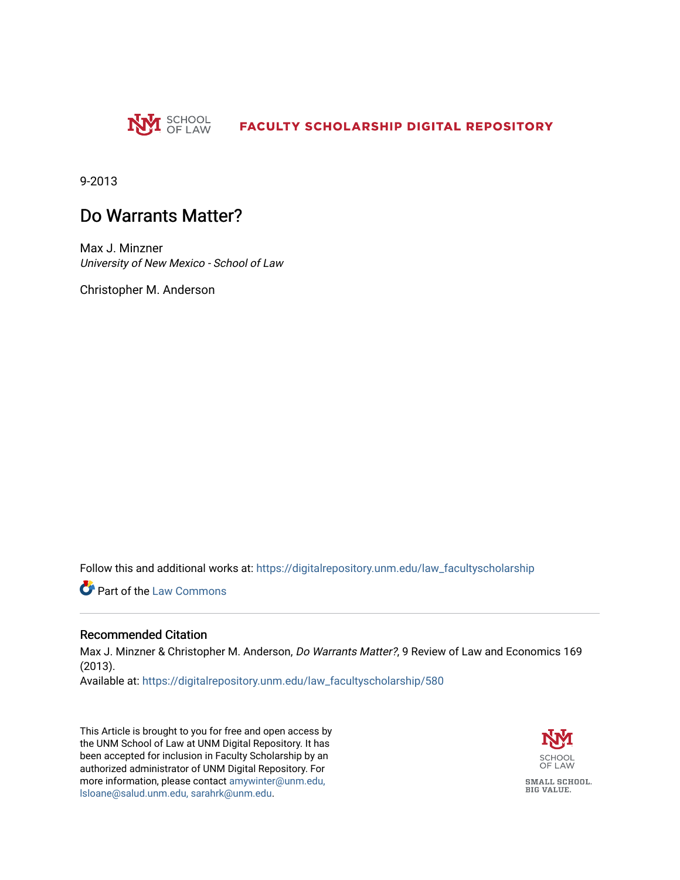

9-2013

# Do Warrants Matter?

Max J. Minzner University of New Mexico - School of Law

Christopher M. Anderson

Follow this and additional works at: [https://digitalrepository.unm.edu/law\\_facultyscholarship](https://digitalrepository.unm.edu/law_facultyscholarship?utm_source=digitalrepository.unm.edu%2Flaw_facultyscholarship%2F580&utm_medium=PDF&utm_campaign=PDFCoverPages) 

Part of the [Law Commons](http://network.bepress.com/hgg/discipline/578?utm_source=digitalrepository.unm.edu%2Flaw_facultyscholarship%2F580&utm_medium=PDF&utm_campaign=PDFCoverPages)

### Recommended Citation

Max J. Minzner & Christopher M. Anderson, Do Warrants Matter?, 9 Review of Law and Economics 169 (2013).

Available at: [https://digitalrepository.unm.edu/law\\_facultyscholarship/580](https://digitalrepository.unm.edu/law_facultyscholarship/580?utm_source=digitalrepository.unm.edu%2Flaw_facultyscholarship%2F580&utm_medium=PDF&utm_campaign=PDFCoverPages) 

This Article is brought to you for free and open access by the UNM School of Law at UNM Digital Repository. It has been accepted for inclusion in Faculty Scholarship by an authorized administrator of UNM Digital Repository. For more information, please contact [amywinter@unm.edu,](mailto:amywinter@unm.edu,%20lsloane@salud.unm.edu,%20sarahrk@unm.edu)  [lsloane@salud.unm.edu, sarahrk@unm.edu.](mailto:amywinter@unm.edu,%20lsloane@salud.unm.edu,%20sarahrk@unm.edu)

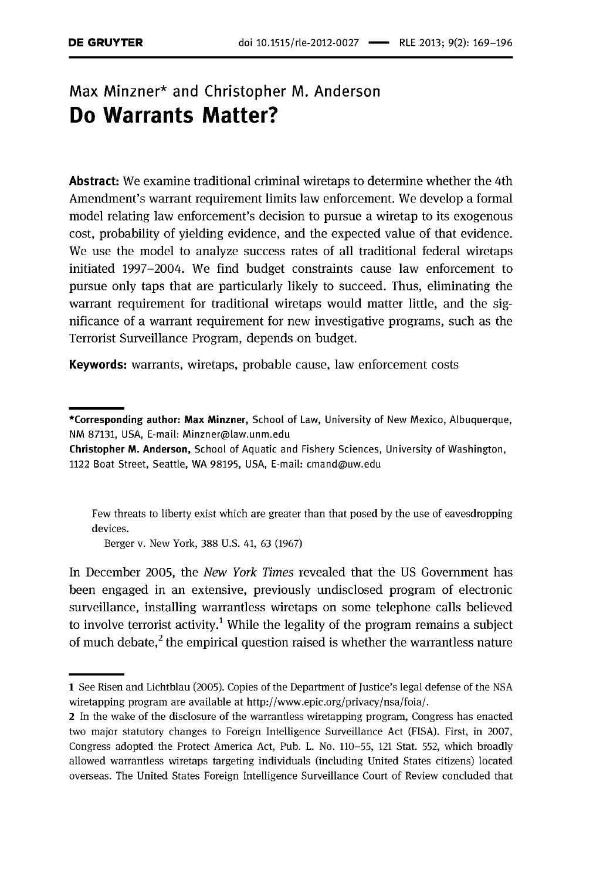# **Max Minzner\* and Christopher M. Anderson Do Warrants Matter?**

**Abstract:** We examine traditional criminal wiretaps to determine whether the 4th Amendment's warrant requirement limits law enforcement. We develop a formal model relating law enforcement's decision to pursue a wiretap to its exogenous cost, probability of yielding evidence, and the expected value of that evidence. We use the model to analyze success rates of all traditional federal wiretaps initiated 1997-2004. We find budget constraints cause law enforcement to pursue only taps that are particularly likely to succeed. Thus, eliminating the warrant requirement for traditional wiretaps would matter little, and the significance of a warrant requirement for new investigative programs, such as the Terrorist Surveillance Program, depends on budget.

**Keywords:** warrants, wiretaps, probable cause, law enforcement costs

Few threats to liberty exist which are greater than that posed by the use of eavesdropping devices.

Berger v. New York, 388 U.S. 41, 63 (1967)

In December 2005, the New York Times revealed that the US Government has been engaged in an extensive, previously undisclosed program of electronic surveillance, installing warrantless wiretaps on some telephone calls believed to involve terrorist activity.<sup>1</sup> While the legality of the program remains a subject of much debate,<sup>2</sup> the empirical question raised is whether the warrantless nature

**<sup>\*</sup>Corresponding author: Max Minzner,** School of Law, University of New Mexico, Albuquerque, NM 87131, USA, E-mail: Minzner@law.unm.edu

**Christopher M. Anderson,** School of Aquatic and Fishery Sciences, University of Washington, 1122 Boat Street, Seattle, WA 98195, USA, E-mail: cmand@uw.edu

**<sup>1</sup>** See Risen and Lichtblau (2005). Copies of the Department of Justice's legal defense of the NSA wiretapping program are available at http://www.epic.org/privacy/nsa/foia/.

<sup>2</sup> In the wake of the disclosure of the warrantless wiretapping program, Congress has enacted two major statutory changes to Foreign Intelligence Surveillance Act (FISA). First, in 2007, Congress adopted the Protect America Act, Pub. L. No. 110-55, 121 Stat. 552, which broadly allowed warrantless wiretaps targeting individuals (including United States citizens) located overseas. The United States Foreign Intelligence Surveillance Court of Review concluded that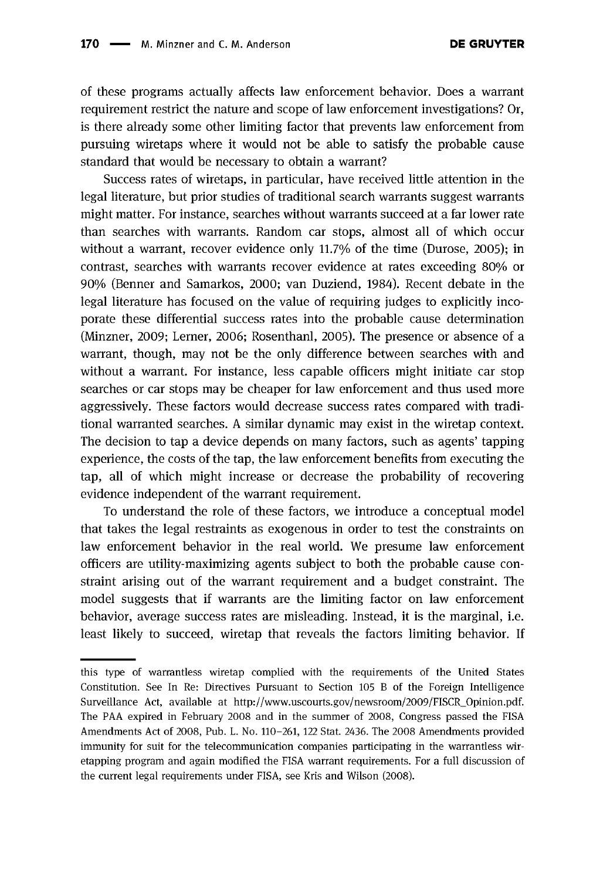of these programs actually affects law enforcement behavior. Does a warrant requirement restrict the nature and scope of law enforcement investigations? Or, is there already some other limiting factor that prevents law enforcement from pursuing wiretaps where it would not be able to satisfy the probable cause standard that would be necessary to obtain a warrant?

Success rates of wiretaps, in particular, have received little attention in the legal literature, but prior studies of traditional search warrants suggest warrants might matter. For instance, searches without warrants succeed at a far lower rate than searches with warrants. Random car stops, almost all of which occur without a warrant, recover evidence only 11.7% of the time (Durose, 2005): in contrast, searches with warrants recover evidence at rates exceeding 80% or 90% (Benner and Samarkos, 2000; van Duziend, 1984). Recent debate in the legal literature has focused on the value of requiring judges to explicitly incoporate these differential success rates into the probable cause determination (Minzner, 2009; Lerner, 2006; Rosenthanl, 2005). The presence or absence of a warrant, though, may not be the only difference between searches with and without a warrant. For instance, less capable officers might initiate car stop searches or car stops may be cheaper for law enforcement and thus used more aggressively. These factors would decrease success rates compared with traditional warranted searches. A similar dynamic may exist in the wiretap context. The decision to tap a device depends on many factors, such as agents' tapping experience, the costs of the tap, the law enforcement benefits from executing the tap, all of which might increase or decrease the probability of recovering evidence independent of the warrant requirement.

To understand the role of these factors, we introduce a conceptual model that takes the legal restraints as exogenous in order to test the constraints on law enforcement behavior in the real world. We presume law enforcement officers are utility-maximizing agents subject to both the probable cause constraint arising out of the warrant requirement and a budget constraint. The model suggests that if warrants are the limiting factor on law enforcement behavior, average success rates are misleading. Instead, it is the marginal, i.e. least likely to succeed, wiretap that reveals the factors limiting behavior. If

this type of warrantless wiretap complied with the requirements of the United States Constitution. See In Re: Directives Pursuant to Section 105 B of the Foreign Intelligence Surveillance Act, available at http://www.uscourts.gov/newsroom/2009/FISCR\_Opinion.pdf. The PAA expired in February 2008 and in the summer of 2008, Congress passed the FISA Amendments Act of 2008, Pub. L. No. 110-261, 122 Stat. 2436. The 2008 Amendments provided immunity for suit for the telecommunication companies participating in the warrantless wiretapping program and again modified the FISA warrant requirements. For a full discussion of the current legal requirements under FISA, see Kris and Wilson (2008).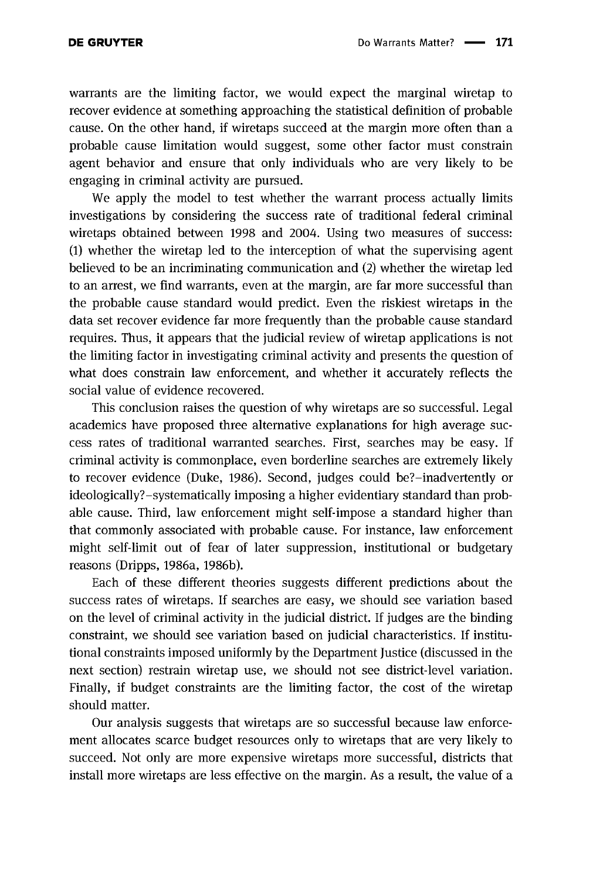warrants are the limiting factor, we would expect the marginal wiretap to recover evidence at something approaching the statistical definition of probable cause. On the other hand, if wiretaps succeed at the margin more often than a probable cause limitation would suggest, some other factor must constrain agent behavior and ensure that only individuals who are very likely to be engaging in criminal activity are pursued.

We apply the model to test whether the warrant process actually limits investigations by considering the success rate of traditional federal criminal wiretaps obtained between 1998 and 2004. Using two measures of success: (1) whether the wiretap led to the interception of what the supervising agent believed to be an incriminating communication and (2) whether the wiretap led to an arrest, we find warrants, even at the margin, are far more successful than the probable cause standard would predict. Even the riskiest wiretaps in the data set recover evidence far more frequently than the probable cause standard requires. Thus, it appears that the judicial review of wiretap applications is not the limiting factor in investigating criminal activity and presents the question of what does constrain law enforcement, and whether it accurately reflects the social value of evidence recovered.

This conclusion raises the question of why wiretaps are so successful. Legal academics have proposed three alternative explanations for high average success rates of traditional warranted searches. First, searches may be easy. If criminal activity is commonplace, even borderline searches are extremely likely to recover evidence (Duke, 1986). Second, judges could be?-inadvertently or ideologically?-systematically imposing a higher evidentiary standard than probable cause. Third, law enforcement might self-impose a standard higher than that commonly associated with probable cause. For instance, law enforcement might self-limit out of fear of later suppression, institutional or budgetary reasons (Dripps, 1986a, 1986b).

Each of these different theories suggests different predictions about the success rates of wiretaps. If searches are easy, we should see variation based on the level of criminal activity in the judicial district. If judges are the binding constraint, we should see variation based on judicial characteristics. If institutional constraints imposed uniformly by the Department Justice (discussed in the next section) restrain wiretap use, we should not see district-level variation. Finally, if budget constraints are the limiting factor, the cost of the wiretap should matter.

Our analysis suggests that wiretaps are so successful because law enforcement allocates scarce budget resources only to wiretaps that are very likely to succeed. Not only are more expensive wiretaps more successful, districts that install more wiretaps are less effective on the margin. As a result, the value of a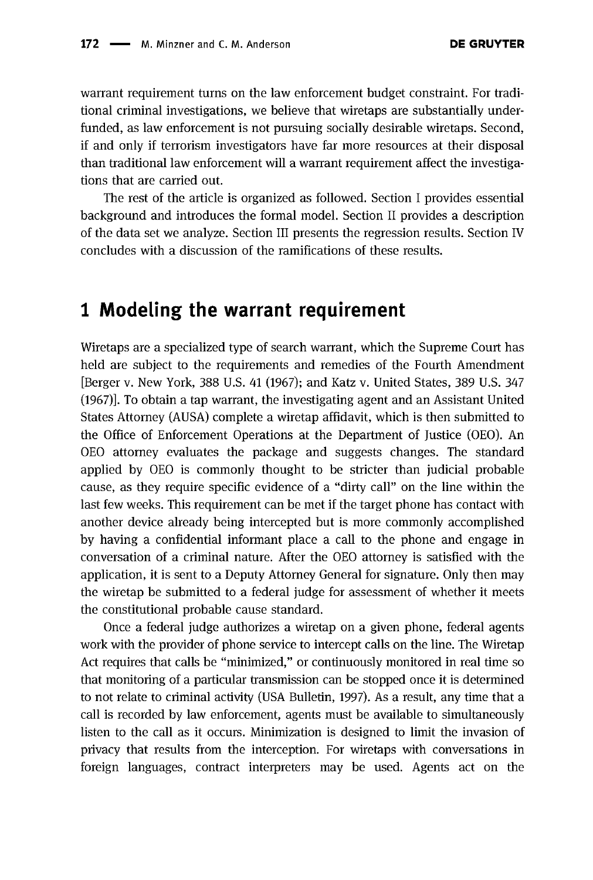warrant requirement turns on the law enforcement budget constraint. For traditional criminal investigations, we believe that wiretaps are substantially underfunded, as law enforcement is not pursuing socially desirable wiretaps. Second, if and only if terrorism investigators have far more resources at their disposal than traditional law enforcement will a warrant requirement affect the investigations that are carried out.

The rest of the article is organized as followed. Section I provides essential background and introduces the formal model. Section II provides a description of the data set we analyze. Section III presents the regression results. Section IV concludes with a discussion of the ramifications of these results.

## **1 Modeling the warrant requirement**

Wiretaps are a specialized type of search warrant, which the Supreme Court has held are subject to the requirements and remedies of the Fourth Amendment [Berger v. New York, 388 U.S. 41 (1967); and Katz v. United States, 389 U.S. 347 (1967)]. To obtain a tap warrant, the investigating agent and an Assistant United States Attorney (AUSA) complete a wiretap affidavit, which is then submitted to the Office of Enforcement Operations at the Department of Justice (OEO). An OEO attorney evaluates the package and suggests changes. The standard applied by OEO is commonly thought to be stricter than judicial probable cause, as they require specific evidence of a "dirty call" on the line within the last few weeks. This requirement can be met if the target phone has contact with another device already being intercepted but is more commonly accomplished by having a confidential informant place a call to the phone and engage in conversation of a criminal nature. After the OEO attorney is satisfied with the application, it is sent to a Deputy Attorney General for signature. Only then may the wiretap be submitted to a federal judge for assessment of whether it meets the constitutional probable cause standard.

Once a federal judge authorizes a wiretap on a given phone, federal agents work with the provider of phone service to intercept calls on the line. The Wiretap Act requires that calls be "minimized," or continuously monitored in real time so that monitoring of a particular transmission can be stopped once it is determined to not relate to criminal activity (USA Bulletin, 1997). As a result, any time that a call is recorded by law enforcement, agents must be available to simultaneously listen to the call as it occurs. Minimization is designed to limit the invasion of privacy that results from the interception. For wiretaps with conversations in foreign languages, contract interpreters may be used. Agents act on the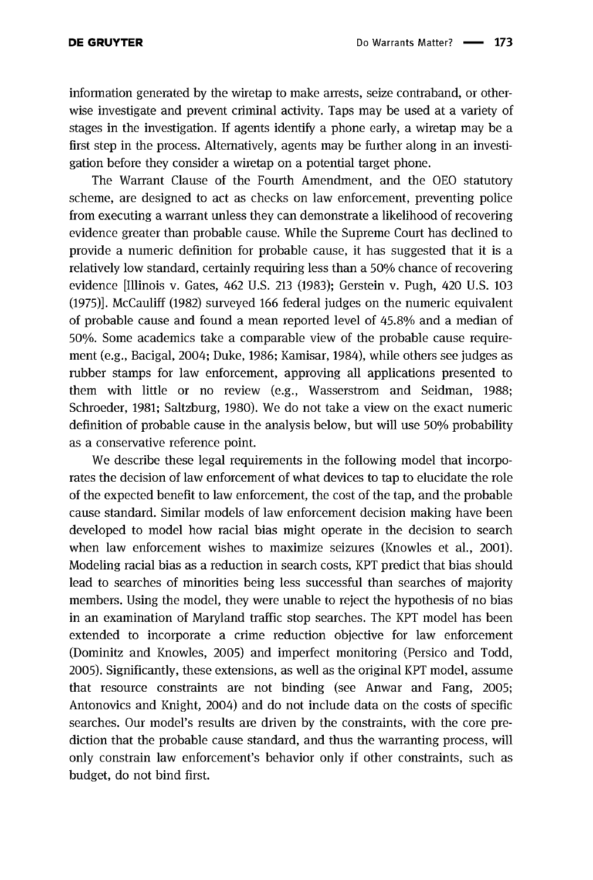information generated by the wiretap to make arrests, seize contraband, or otherwise investigate and prevent criminal activity. Taps may be used at a variety of stages in the investigation. If agents identify a phone early, a wiretap may be a first step in the process. Alternatively, agents may be further along in an investigation before they consider a wiretap on a potential target phone.

The Warrant Clause of the Fourth Amendment, and the OEO statutory scheme, are designed to act as checks on law enforcement, preventing police from executing a warrant unless they can demonstrate a likelihood of recovering evidence greater than probable cause. While the Supreme Court has declined to provide a numeric definition for probable cause, it has suggested that it is a relatively low standard, certainly requiring less than a 50% chance of recovering evidence [Illinois v. Gates, 462 U.S. 213 (1983); Gerstein v. Pugh, 420 U.S. 103 (1975)]. McCauliff (1982) surveyed 166 federal judges on the numeric equivalent of probable cause and found a mean reported level of 45.8% and a median of 50%. Some academics take a comparable view of the probable cause requirement (e.g., Bacigal, 2004; Duke, 1986; Kamisar, 1984), while others see judges as rubber stamps for law enforcement, approving all applications presented to them with little or no review (e.g., Wasserstrom and Seidman, 1988; Schroeder, 1981; Saltzburg, 1980). We do not take a view on the exact numeric definition of probable cause in the analysis below, but will use 50% probability as a conservative reference point.

We describe these legal requirements in the following model that incorporates the decision of law enforcement of what devices to tap to elucidate the role of the expected benefit to law enforcement, the cost of the tap, and the probable cause standard. Similar models of law enforcement decision making have been developed to model how racial bias might operate in the decision to search when law enforcement wishes to maximize seizures (Knowles et al., 2001). Modeling racial bias as a reduction in search costs, KPT predict that bias should lead to searches of minorities being less successful than searches of majority members. Using the model, they were unable to reject the hypothesis of no bias in an examination of Maryland traffic stop searches. The KPT model has been extended to incorporate a crime reduction objective for law enforcement (Dominitz and Knowles, 2005) and imperfect monitoring (Persico and Todd, 2005). Significantly, these extensions, as well as the original KPT model, assume that resource constraints are not binding (see Anwar and Fang, 2005; Antonovics and Knight, 2004) and do not include data on the costs of specific searches. Our model's results are driven by the constraints, with the core prediction that the probable cause standard, and thus the warranting process, will only constrain law enforcement's behavior only if other constraints, such as budget, do not bind first.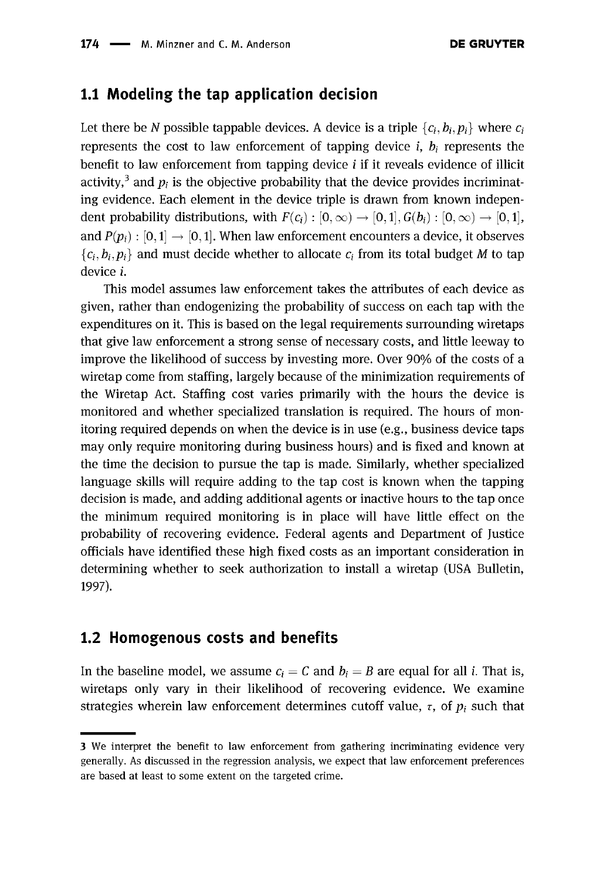## **1.1 Modeling the tap application decision**

Let there be *N* possible tappable devices. A device is a triple  $\{c_i, b_i, p_i\}$  where  $c_i$ represents the cost to law enforcement of tapping device  $i$ ,  $b_i$  represents the benefit to law enforcement from tapping device i if it reveals evidence of illicit activity,<sup>3</sup> and  $p_i$  is the objective probability that the device provides incriminating evidence. Each element in the device triple is drawn from known independent probability distributions, with  $F(c_i) : [0, \infty) \to [0, 1], G(b_i) : [0, \infty) \to [0, 1],$ and  $P(p_i) : [0, 1] \rightarrow [0, 1]$ . When law enforcement encounters a device, it observes  $\{c_i, b_i, p_i\}$  and must decide whether to allocate  $c_i$  from its total budget M to tap device i.

This model assumes law enforcement takes the attributes of each device as given, rather than endogenizing the probability of success on each tap with the expenditures on it. This is based on the legal requirements surrounding wiretaps that give law enforcement a strong sense of necessary costs, and little leeway to improve the likelihood of success by investing more. Over 90% of the costs of a wiretap come from staffing, largely because of the minimization requirements of the Wiretap Act. Staffing cost varies primarily with the hours the device is monitored and whether specialized translation is required. The hours of monitoring required depends on when the device is in use (e.g., business device taps may only require monitoring during business hours) and is fixed and known at the time the decision to pursue the tap is made. Similarly, whether specialized language skills will require adding to the tap cost is known when the tapping decision is made, and adding additional agents or inactive hours to the tap once the minimum required monitoring is in place will have little effect on the probability of recovering evidence. Federal agents and Department of Justice officials have identified these high fixed costs as an important consideration in determining whether to seek authorization to install a wiretap (USA Bulletin, 1997).

### **1.2 Homogenous costs and benefits**

In the baseline model, we assume  $c_i = C$  and  $b_i = B$  are equal for all *i*. That is, wiretaps only vary in their likelihood of recovering evidence. We examine strategies wherein law enforcement determines cutoff value,  $\tau$ , of  $p_i$  such that

**<sup>3</sup>** We interpret the benefit to law enforcement from gathering incriminating evidence very generally. As discussed in the regression analysis, we expect that law enforcement preferences are based at least to some extent on the targeted crime.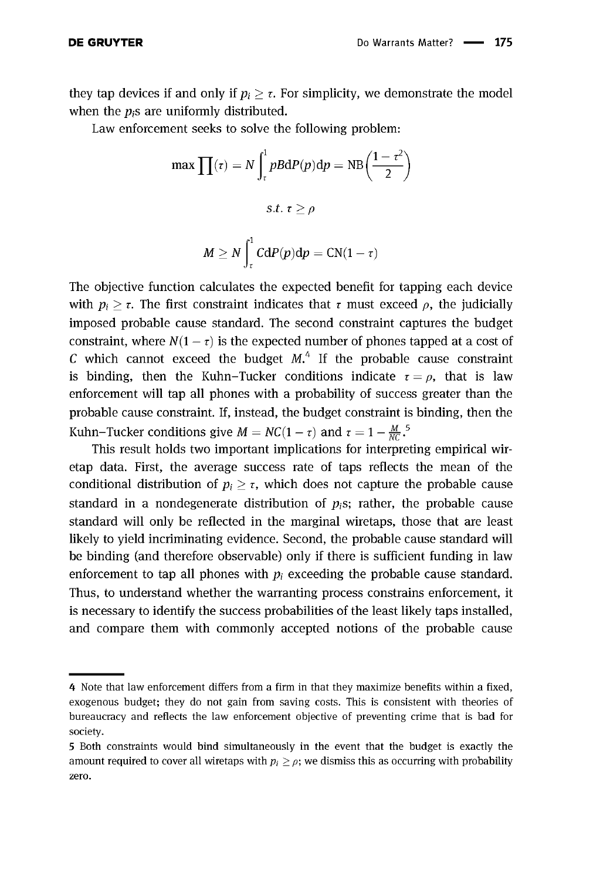they tap devices if and only if  $p_i > r$ . For simplicity, we demonstrate the model when the *p;s* are uniformly distributed.

Law enforcement seeks to solve the following problem:

$$
\max \prod(\tau) = N \int_{\tau}^{1} p B dP(p) dp = NB \left(\frac{1 - \tau^{2}}{2}\right)
$$
  
s.t.  $\tau \ge \rho$   

$$
M \ge N \int_{\tau}^{1} C dP(p) dp = CN(1 - \tau)
$$

The objective function calculates the expected benefit for tapping each device with  $p_i > \tau$ . The first constraint indicates that  $\tau$  must exceed  $\rho$ , the judicially imposed probable cause standard. The second constraint captures the budget constraint, where  $N(1 - \tau)$  is the expected number of phones tapped at a cost of C which cannot exceed the budget  $M<sup>4</sup>$ . If the probable cause constraint is binding, then the Kuhn-Tucker conditions indicate  $\tau = \rho$ , that is law enforcement will tap all phones with a probability of success greater than the probable cause constraint. If, instead, the budget constraint is binding, then the Kuhn–Tucker conditions give  $M = NC(1-\tau)$  and  $\tau = 1 - \frac{M}{NC}$ .<sup>5</sup>

This result holds two important implications for interpreting empirical wiretap data. First, the average success rate of taps reflects the mean of the conditional distribution of  $p_i \geq \tau$ , which does not capture the probable cause standard in a nondegenerate distribution of  $p_i$ s; rather, the probable cause standard will only be reflected in the marginal wiretaps, those that are least likely to yield incriminating evidence. Second, the probable cause standard will be binding (and therefore observable) only if there is sufficient funding in law enforcement to tap all phones with  $p_i$  exceeding the probable cause standard. Thus, to understand whether the warranting process constrains enforcement, it is necessary to identify the success probabilities of the least likely taps installed, and compare them with commonly accepted notions of the probable cause

<sup>4</sup> Note that law enforcement differs from a firm in that they maximize benefits within a fixed, exogenous budget; they do not gain from saving costs. This is consistent with theories of bureaucracy and reflects the law enforcement objective of preventing crime that is bad for society.

<sup>5</sup> Both constraints would bind simultaneously in the event that the budget is exactly the amount required to cover all wiretaps with  $p_i \geq \rho$ ; we dismiss this as occurring with probability zero.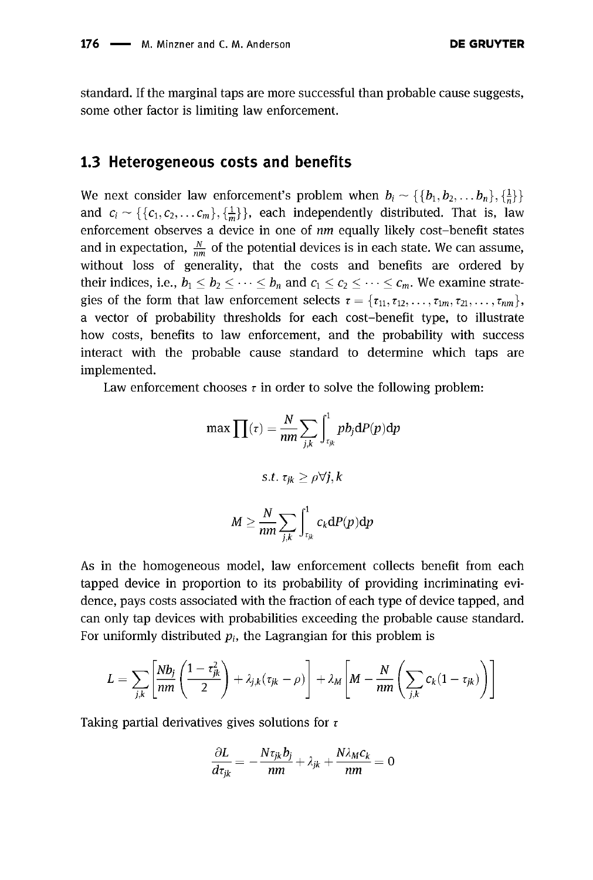standard. If the marginal taps are more successful than probable cause suggests, some other factor is limiting law enforcement.

### **1.3 Heterogeneous costs and benefits**

We next consider law enforcement's problem when  $b_i \sim \{\{b_1, b_2, \ldots b_n\}, \{\frac{1}{n}\}\}\$ and  $c_i \sim \{\{c_1, c_2, \ldots c_m\}, \{\frac{1}{m}\}\}\$ , each independently distributed. That is, law enforcement observes a device in one of *nm* equally likely cost-benefit states and in expectation,  $\frac{N}{nm}$  of the potential devices is in each state. We can assume, without loss of generality, that the costs and benefits are ordered by their indices, i.e.,  $b_1 \leq b_2 \leq \cdots \leq b_n$  and  $c_1 \leq c_2 \leq \cdots \leq c_m$ . We examine strategies of the form that law enforcement selects  $\tau = {\tau_{11}, \tau_{12}, \ldots, \tau_{1m}, \tau_{21}, \ldots, \tau_{nm}}$ , a vector of probability thresholds for each cost-benefit type, to illustrate how costs, benefits to law enforcement, and the probability with success interact with the probable cause standard to determine which taps are implemented.

Law enforcement chooses  $\tau$  in order to solve the following problem:

$$
\max \prod(\tau) = \frac{N}{nm} \sum_{j,k} \int_{\tau_{jk}}^{1} pb_{j} dP(p) dp
$$
  

$$
s.t. \tau_{jk} \ge \rho \forall j, k
$$
  

$$
M \ge \frac{N}{nm} \sum_{i,k} \int_{\tau_{ik}}^{1} c_{k} dP(p) dp
$$

As in the homogeneous model, law enforcement collects benefit from each tapped device in proportion to its probability of providing incriminating evidence, pays costs associated with the fraction of each type of device tapped, and can only tap devices with probabilities exceeding the probable cause standard. For uniformly distributed  $p_i$ , the Lagrangian for this problem is

$$
L = \sum_{j,k} \left[ \frac{Nb_j}{nm} \left( \frac{1 - \tau_{jk}^2}{2} \right) + \lambda_{j,k} (\tau_{jk} - \rho) \right] + \lambda_M \left[ M - \frac{N}{nm} \left( \sum_{j,k} c_k (1 - \tau_{jk}) \right) \right]
$$

Taking partial derivatives gives solutions for  $\tau$ 

$$
\frac{\partial L}{d\tau_{jk}}=-\frac{N\tau_{jk}b_j}{nm}+\lambda_{jk}+\frac{N\lambda_Mc_k}{nm}=0
$$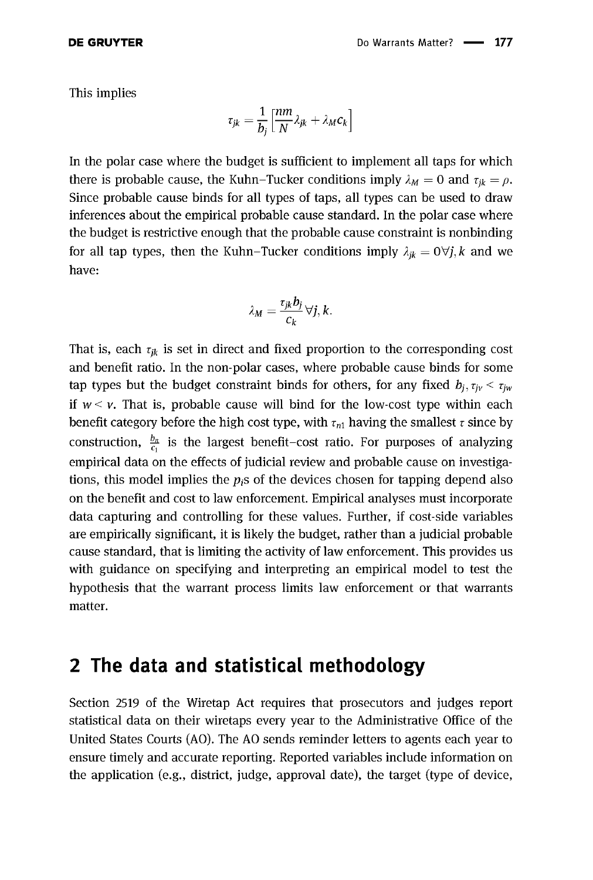This implies

$$
\tau_{jk} = \frac{1}{b_j} \left[ \frac{nm}{N} \lambda_{jk} + \lambda_M c_k \right]
$$

In the polar case where the budget is sufficient to implement all taps for which there is probable cause, the Kuhn-Tucker conditions imply  $\lambda_M = 0$  and  $\tau_{ik} = \rho$ . Since probable cause binds for all types of taps, all types can be used to draw inferences about the empirical probable cause standard. In the polar case where the budget is restrictive enough that the probable cause constraint is nonbinding for all tap types, then the Kuhn-Tucker conditions imply  $\lambda_{ik} = 0 \forall j, k$  and we have:

$$
\lambda_M=\frac{\tau_{jk}b_j}{c_k}\,\forall j,k.
$$

That is, each  $\tau_{ik}$  is set in direct and fixed proportion to the corresponding cost and benefit ratio. In the non-polar cases, where probable cause binds for some tap types but the budget constraint binds for others, for any fixed  $b_i$ ,  $\tau_{iv} < \tau_{iw}$ if  $w < v$ . That is, probable cause will bind for the low-cost type within each benefit category before the high cost type, with  $\tau_{n1}$  having the smallest  $\tau$  since by construction,  $\frac{b_n}{c_1}$  is the largest benefit-cost ratio. For purposes of analyzing empirical data on the effects of judicial review and probable cause on investigations, this model implies the  $p_i$  so f the devices chosen for tapping depend also on the benefit and cost to law enforcement. Empirical analyses must incorporate data capturing and controlling for these values. Further, if cost-side variables are empirically significant, it is likely the budget, rather than a judicial probable cause standard, that is limiting the activity of law enforcement. This provides us with guidance on specifying and interpreting an empirical model to test the hypothesis that the warrant process limits law enforcement or that warrants matter.

## **2 The data and statistical methodology**

Section 2519 of the Wiretap Act requires that prosecutors and judges report statistical data on their wiretaps every year to the Administrative Office of the United States Courts (AO). The AO sends reminder letters to agents each year to ensure timely and accurate reporting. Reported variables include information on the application (e.g., district, judge, approval date), the target (type of device,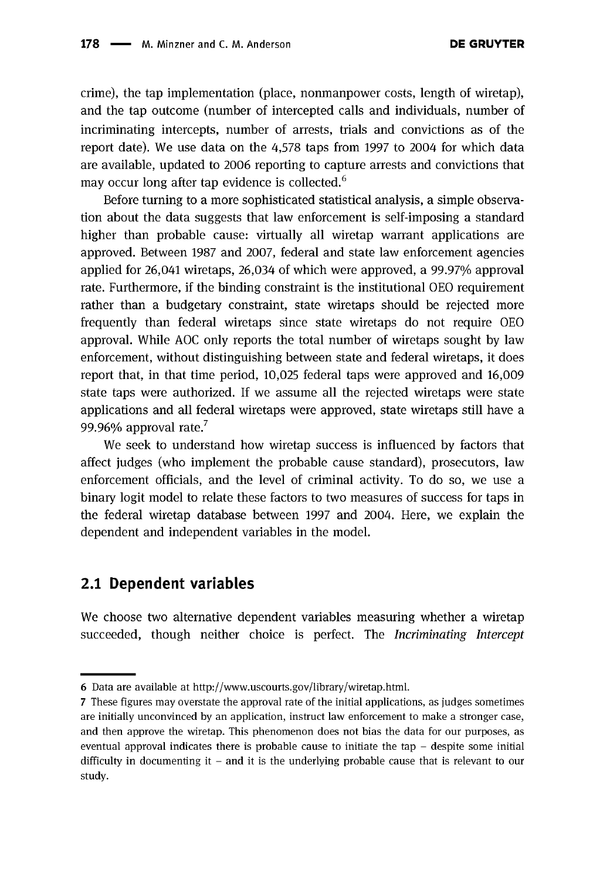crime), the tap implementation (place, nonmanpower costs, length of wiretap), and the tap outcome (number of intercepted calls and individuals, number of incriminating intercepts, number of arrests, trials and convictions as of the report date). We use data on the 4,578 taps from 1997 to 2004 for which data are available, updated to 2006 reporting to capture arrests and convictions that may occur long after tap evidence is collected.<sup>6</sup>

Before turning to a more sophisticated statistical analysis, a simple observation about the data suggests that law enforcement is self-imposing a standard higher than probable cause: virtually all wiretap warrant applications are approved. Between 1987 and 2007, federal and state law enforcement agencies applied for 26,041 wiretaps, 26,034 of which were approved, a 99,97% approval rate. Furthermore, if the binding constraint is the institutional OEO requirement rather than a budgetary constraint, state wiretaps should be rejected more frequently than federal wiretaps since state wiretaps do not require OEO approval. While AOC only reports the total number of wiretaps sought by law enforcement, without distinguishing between state and federal wiretaps, it does report that, in that time period, 10,025 federal taps were approved and 16,009 state taps were authorized. If we assume all the rejected wiretaps were state applications and all federal wiretaps were approved, state wiretaps still have a 99.96% approval rate.<sup>7</sup>

We seek to understand how wiretap success is influenced by factors that affect judges (who implement the probable cause standard), prosecutors, law enforcement officials, and the level of criminal activity. To do so, we use a binary logit model to relate these factors to two measures of success for taps in the federal wiretap database between 1997 and 2004. Here, we explain the dependent and independent variables in the model.

## **2.1 Dependent variables**

We choose two alternative dependent variables measuring whether a wiretap succeeded, though neither choice is perfect. The *Incriminating Intercept* 

**<sup>6</sup>** Data are available at http://www.uscourts.gov/library/wiretap.html.

<sup>7</sup> These figures may overstate the approval rate of the initial applications, as judges sometimes are initially unconvinced by an application, instruct law enforcement to make a stronger case, and then approve the wiretap. This phenomenon does not bias the data for our purposes, as eventual approval indicates there is probable cause to initiate the tap  $-$  despite some initial difficulty in documenting it  $-$  and it is the underlying probable cause that is relevant to our study.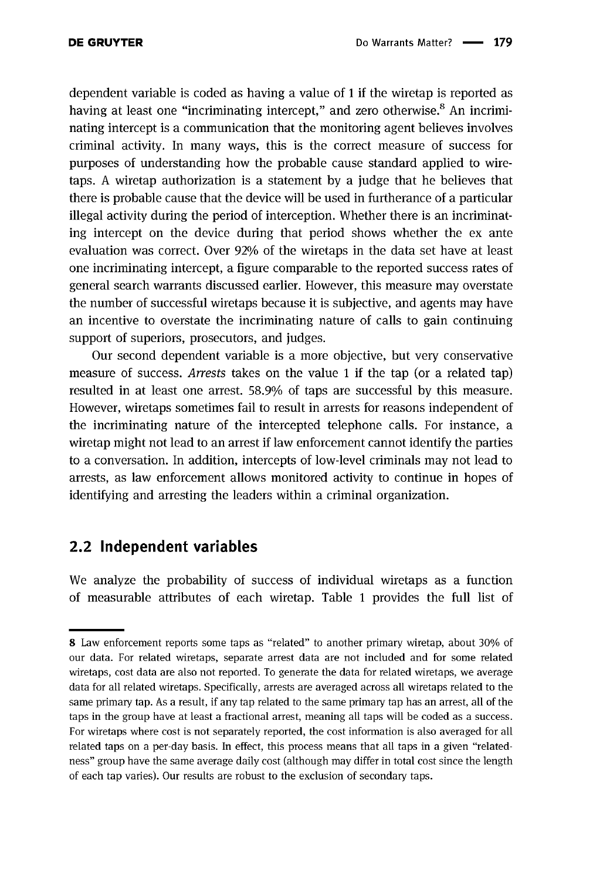dependent variable is coded as having a value of **1** if the wiretap is reported as having at least one "incriminating intercept," and zero otherwise. $8$  An incriminating intercept is a communication that the monitoring agent believes involves criminal activity. In many ways, this is the correct measure of success for purposes of understanding how the probable cause standard applied to wiretaps. A wiretap authorization is a statement by a judge that he believes that there is probable cause that the device will be used in furtherance of a particular illegal activity during the period of interception. Whether there is an incriminating intercept on the device during that period shows whether the ex ante evaluation was correct. Over 92% of the wiretaps in the data set have at least one incriminating intercept, a figure comparable to the reported success rates of general search warrants discussed earlier. However, this measure may overstate the number of successful wiretaps because it is subjective, and agents may have an incentive to overstate the incriminating nature of calls to gain continuing support of superiors, prosecutors, and judges.

Our second dependent variable is a more objective, but very conservative measure of success. *Arrests* takes on the value **1** if the tap (or a related tap) resulted in at least one arrest. 58.9% of taps are successful by this measure. However, wiretaps sometimes fail to result in arrests for reasons independent of the incriminating nature of the intercepted telephone calls. For instance, a wiretap might not lead to an arrest if law enforcement cannot identify the parties to a conversation. In addition, intercepts of low-level criminals may not lead to arrests, as law enforcement allows monitored activity to continue in hopes of identifying and arresting the leaders within a criminal organization.

## **2.2 Independent variables**

We analyze the probability of success of individual wiretaps as a function of measurable attributes of each wiretap. Table **1** provides the full list of

**<sup>8</sup>** Law enforcement reports some taps as "related" to another primary wiretap, about 30% of our data. For related wiretaps, separate arrest data are not included and for some related wiretaps, cost data are also not reported. To generate the data for related wiretaps, we average data for all related wiretaps. Specifically, arrests are averaged across all wiretaps related to the same primary tap. As a result, if any tap related to the same primary tap has an arrest, all of the taps in the group have at least a fractional arrest, meaning all taps will be coded as a success. For wiretaps where cost is not separately reported, the cost information is also averaged for all related taps on a per-day basis. In effect, this process means that all taps in a given "relatedness" group have the same average daily cost (although may differ in total cost since the length of each tap varies). Our results are robust to the exclusion of secondary taps.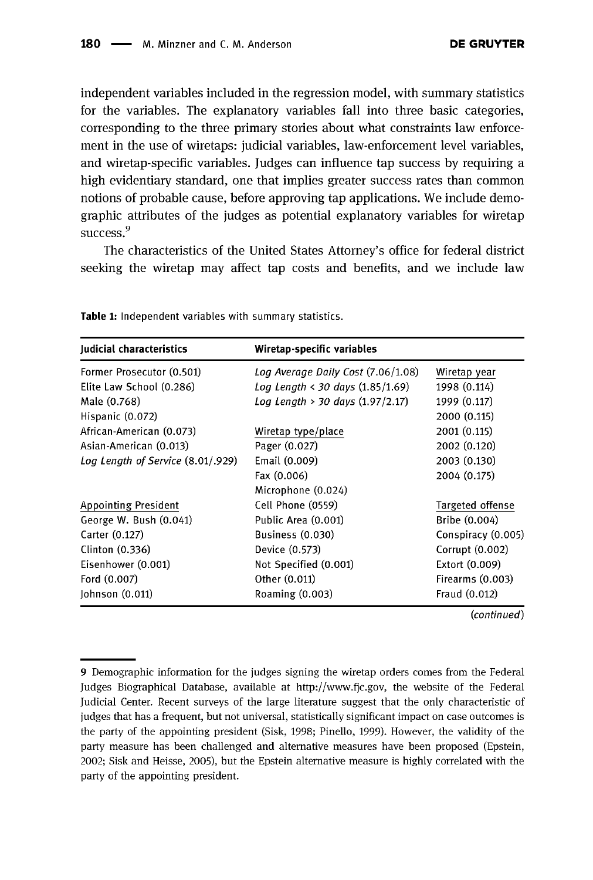independent variables included in the regression model, with summary statistics for the variables. The explanatory variables fall into three basic categories, corresponding to the three primary stories about what constraints law enforcement in the use of wiretaps: judicial variables, law-enforcement level variables, and wiretap-specific variables. Judges can influence tap success by requiring a high evidentiary standard, one that implies greater success rates than common notions of probable cause, before approving tap applications. We include demographic attributes of the judges as potential explanatory variables for wiretap success.<sup>9</sup>

The characteristics of the United States Attorney's office for federal district seeking the wiretap may affect tap costs and benefits, and we include law

| Judicial characteristics          | Wiretap-specific variables         |                    |
|-----------------------------------|------------------------------------|--------------------|
| Former Prosecutor (0.501)         | Log Average Daily Cost (7.06/1.08) | Wiretap year       |
| Elite Law School (0.286)          | Log Length < 30 days $(1.85/1.69)$ | 1998 (0.114)       |
| Male (0.768)                      | Log Length > 30 days $(1.97/2.17)$ | 1999 (0.117)       |
| Hispanic (0.072)                  |                                    | 2000 (0.115)       |
| African-American (0.073)          | Wiretap type/place                 | 2001 (0.115)       |
| Asian-American (0.013)            | Pager (0.027)                      | 2002 (0.120)       |
| Loa Length of Service (8.01/.929) | Email (0.009)                      | 2003 (0.130)       |
|                                   | Fax (0.006)                        | 2004 (0.175)       |
|                                   | Microphone (0.024)                 |                    |
| <b>Appointing President</b>       | Cell Phone (0559)                  | Targeted offense   |
| George W. Bush (0.041)            | Public Area (0.001)                | Bribe (0.004)      |
| Carter (0.127)                    | <b>Business (0.030)</b>            | Conspiracy (0.005) |
| Clinton (0.336)                   | Device (0.573)                     | Corrupt (0.002)    |
| Eisenhower (0.001)                | Not Specified (0.001)              | Extort (0.009)     |
| Ford (0.007)                      | Other (0.011)                      | Firearms (0.003)   |
| Johnson (0.011)                   | Roaming (0.003)                    | Fraud (0.012)      |

**Table 1:** Independent variables with summary statistics.

(continued)

<sup>9</sup> Demographic information for the judges signing the wiretap orders comes from the Federal Judges Biographical Database, available at http://www.fjc.gov, the website of the Federal Judicial Center. Recent surveys of the large literature suggest that the only characteristic of judges that has a frequent, but not universal, statistically significant impact on case outcomes is the party of the appointing president (Sisk, 1998; Pinello, 1999). However, the validity of the party measure has been challenged and alternative measures have been proposed (Epstein, 2002; Sisk and Heisse, 2005), but the Epstein alternative measure is highly correlated with the party of the appointing president.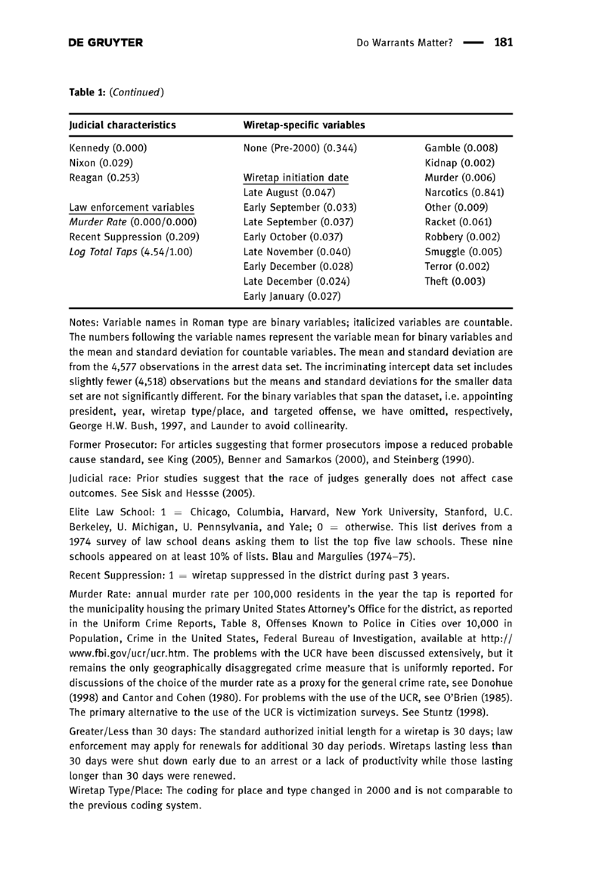#### **Table 1:** (Continued)

| Judicial characteristics     | Wiretap-specific variables |                   |
|------------------------------|----------------------------|-------------------|
| Kennedy (0.000)              | None (Pre-2000) (0.344)    | Gamble (0.008)    |
| Nixon (0.029)                |                            | Kidnap (0.002)    |
| Reagan (0.253)               | Wiretap initiation date    | Murder (0.006)    |
|                              | Late August (0.047)        | Narcotics (0.841) |
| Law enforcement variables    | Early September (0.033)    | Other (0.009)     |
| Murder Rate (0.000/0.000)    | Late September (0.037)     | Racket (0.061)    |
| Recent Suppression (0.209)   | Early October (0.037)      | Robbery (0.002)   |
| Log Total Taps $(4.54/1.00)$ | Late November (0.040)      | Smuggle (0.005)   |
|                              | Early December (0.028)     | Terror (0.002)    |
|                              | Late December (0.024)      | Theft (0.003)     |
|                              | Early January (0.027)      |                   |

Notes: Variable names in Roman type are binary variables; italicized variables are countable. The numbers following the variable names represent the variable mean for binary variables and the mean and standard deviation for countable variables. The mean and standard deviation are from the 4,577 observations in the arrest data set. The incriminating intercept data set includes slightly fewer (4,518) observations but the means and standard deviations for the smaller data set are not significantly different. For the binary variables that span the dataset, i.e. appointing president, year, wiretap type/place, and targeted offense, we have omitted, respectively, George H.W. Bush, 1997, and Launder to avoid collinearity.

Former Prosecutor: For articles suggesting that former prosecutors impose a reduced probable cause standard, see King (2005), Benner and Samarkos (2000), and Steinberg (1990).

Judicial race: Prior studies suggest that the race of judges generally does not affect case outcomes. See Sisk and Hessse (2005).

Elite Law School:  $1 =$  Chicago, Columbia, Harvard, New York University, Stanford, U.C. Berkeley, U. Michigan, U. Pennsylvania, and Yale;  $0 =$  otherwise. This list derives from a 1974 survey of law school deans asking them to list the top five law schools. These nine schools appeared on at least 10% of lists. Blau and Margulies (1974-75).

Recent Suppression:  $1 =$  wiretap suppressed in the district during past 3 years.

Murder Rate: annual murder rate per 100,000 residents in the year the tap is reported for the municipality housing the primary United States Attorney's Office for the district, as reported in the Uniform Crime Reports, Table 8, Offenses Known to Police in Cities over 10,000 in Population, Crime in the United States, Federal Bureau of Investigation, available at http:// www.fbi.gov/ucr/ucr.htm. The problems with the UCR have been discussed extensively, but it remains the only geographically disaggregated crime measure that is uniformly reported. For discussions of the choice of the murder rate as a proxy for the general crime rate, see Donohue (1998) and Cantor and Cohen (1980). For problems with the use of the UCR, see O'Brien (1985). The primary alternative to the use of the UCR is victimization surveys. See Stuntz (1998).

Greater/Less than 30 days: The standard authorized initial length for a wiretap is 30 days; law enforcement may apply for renewals for additional 30 day periods. Wiretaps lasting less than 30 days were shut down early due to an arrest or a lack of productivity while those lasting longer than 30 days were renewed.

Wiretap Type/Place: The coding for place and type changed in 2000 and is not comparable to the previous coding system.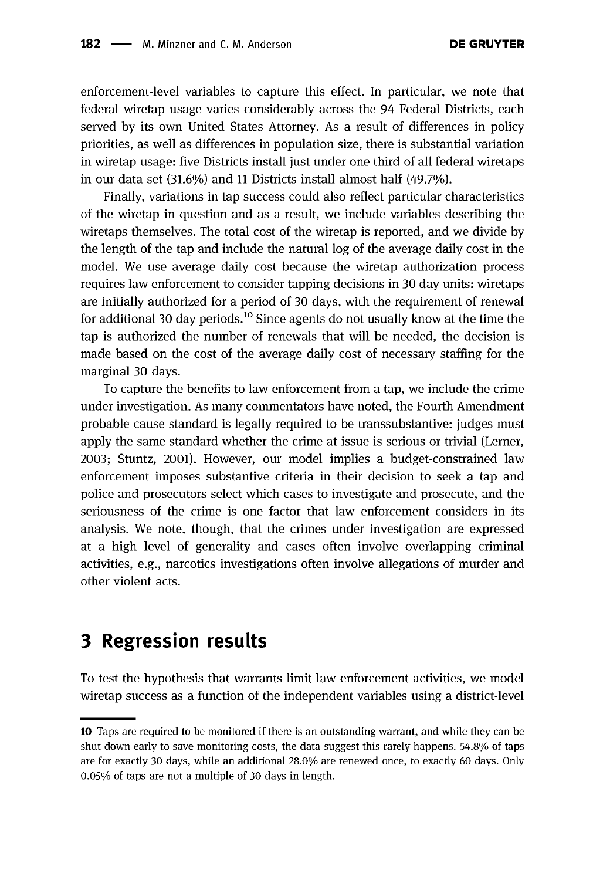enforcement-level variables to capture this effect. In particular, we note that federal wiretap usage varies considerably across the 94 Federal Districts, each served by its own United States Attorney. As a result of differences in policy priorities, as well as differences in population size, there is substantial variation in wiretap usage: five Districts install just under one third of all federal wiretaps in our data set  $(31.6\%)$  and 11 Districts install almost half  $(49.7\%)$ .

Finally, variations in tap success could also reflect particular characteristics of the wiretap in question and as a result, we include variables describing the wiretaps themselves. The total cost of the wiretap is reported, and we divide by the length of the tap and include the natural log of the average daily cost in the model. We use average daily cost because the wiretap authorization process requires law enforcement to consider tapping decisions in 30 day units: wiretaps are initially authorized for a period of 30 days, with the requirement of renewal for additional 30 day periods.<sup>10</sup> Since agents do not usually know at the time the tap is authorized the number of renewals that will be needed, the decision is made based on the cost of the average daily cost of necessary staffing for the marginal 30 days.

To capture the benefits to law enforcement from a tap, we include the crime under investigation. As many commentators have noted, the Fourth Amendment probable cause standard is legally required to be transsubstantive: judges must apply the same standard whether the crime at issue is serious or trivial (Lerner, 2003; Stuntz, 2001). However, our model implies a budget-constrained law enforcement imposes substantive criteria in their decision to seek a tap and police and prosecutors select which cases to investigate and prosecute, and the seriousness of the crime is one factor that law enforcement considers in its analysis. We note, though, that the crimes under investigation are expressed at a high level of generality and cases often involve overlapping criminal activities, e.g., narcotics investigations often involve allegations of murder and other violent acts.

## **3 Regression results**

To test the hypothesis that warrants limit law enforcement activities, we model wiretap success as a function of the independent variables using a district-level

**<sup>10</sup>** Taps are required to be monitored if there is an outstanding warrant, and while they can be shut down early to save monitoring costs, the data suggest this rarely happens. 54.8% of taps are for exactly 30 days, while an additional 28.0% are renewed once, to exactly 60 days. Only 0.05% of taps are not a multiple of 30 days in length.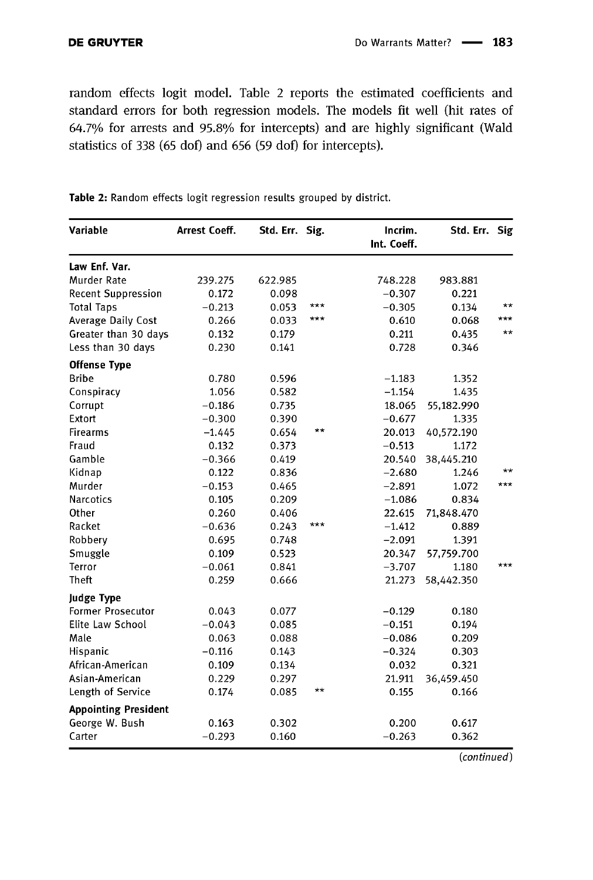random effects logit model. Table 2 reports the estimated coefficients and standard errors for both regression models. The models fit well (hit rates of 64.7% for arrests and 95.8% for intercepts) and are highly significant (Wald statistics of 338 (65 dot) and 656 (59 dot) for intercepts).

| <b>Variable</b>             | Arrest Coeff. | Std. Err. Sig. |       | Incrim.<br>Int. Coeff. | Std. Err. Sig |       |
|-----------------------------|---------------|----------------|-------|------------------------|---------------|-------|
| Law Enf. Var.               |               |                |       |                        |               |       |
| Murder Rate                 | 239.275       | 622.985        |       | 748.228                | 983.881       |       |
| <b>Recent Suppression</b>   | 0.172         | 0.098          |       | $-0.307$               | 0.221         |       |
| <b>Total Taps</b>           | $-0.213$      | 0.053          | ***   | $-0.305$               | 0.134         | $**$  |
| Average Daily Cost          | 0.266         | 0.033          | ***   | 0.610                  | 0.068         | ***   |
| Greater than 30 days        | 0.132         | 0.179          |       | 0.211                  | 0.435         | $**$  |
| Less than 30 days           | 0.230         | 0.141          |       | 0.728                  | 0.346         |       |
| <b>Offense Type</b>         |               |                |       |                        |               |       |
| <b>Bribe</b>                | 0.780         | 0.596          |       | $-1.183$               | 1.352         |       |
| Conspiracy                  | 1.056         | 0.582          |       | $-1.154$               | 1.435         |       |
| Corrupt                     | $-0.186$      | 0.735          |       | 18.065                 | 55,182.990    |       |
| Extort                      | $-0.300$      | 0.390          |       | $-0.677$               | 1.335         |       |
| <b>Firearms</b>             | $-1.445$      | 0.654          | $***$ | 20.013                 | 40,572.190    |       |
| Fraud                       | 0.132         | 0.373          |       | $-0.513$               | 1.172         |       |
| Gamble                      | $-0.366$      | 0.419          |       | 20.540                 | 38,445.210    |       |
| Kidnap                      | 0.122         | 0.836          |       | $-2.680$               | 1.246         | $***$ |
| Murder                      | $-0.153$      | 0.465          |       | $-2.891$               | 1.072         | $***$ |
| Narcotics                   | 0.105         | 0.209          |       | $-1.086$               | 0.834         |       |
| Other                       | 0.260         | 0.406          |       | 22.615                 | 71,848.470    |       |
| Racket                      | $-0.636$      | 0.243          | ***   | $-1.412$               | 0.889         |       |
| Robbery                     | 0.695         | 0.748          |       | $-2.091$               | 1.391         |       |
| Smuggle                     | 0.109         | 0.523          |       | 20.347                 | 57,759.700    |       |
| Terror                      | $-0.061$      | 0.841          |       | $-3.707$               | 1.180         | $***$ |
| <b>Theft</b>                | 0.259         | 0.666          |       | 21.273                 | 58,442.350    |       |
| Judge Type                  |               |                |       |                        |               |       |
| <b>Former Prosecutor</b>    | 0.043         | 0.077          |       | $-0.129$               | 0.180         |       |
| Elite Law School            | $-0.043$      | 0.085          |       | $-0.151$               | 0.194         |       |
| Male                        | 0.063         | 0.088          |       | $-0.086$               | 0.209         |       |
| Hispanic                    | $-0.116$      | 0.143          |       | $-0.324$               | 0.303         |       |
| African-American            | 0.109         | 0.134          |       | 0.032                  | 0.321         |       |
| Asian-American              | 0.229         | 0.297          |       | 21.911                 | 36,459.450    |       |
| Length of Service           | 0.174         | 0.085          | $***$ | 0.155                  | 0.166         |       |
| <b>Appointing President</b> |               |                |       |                        |               |       |
| George W. Bush              | 0.163         | 0.302          |       | 0.200                  | 0.617         |       |
| Carter                      | $-0.293$      | 0.160          |       | $-0.263$               | 0.362         |       |

**Table 2:** Random effects logit regression results grouped by district.

(continued)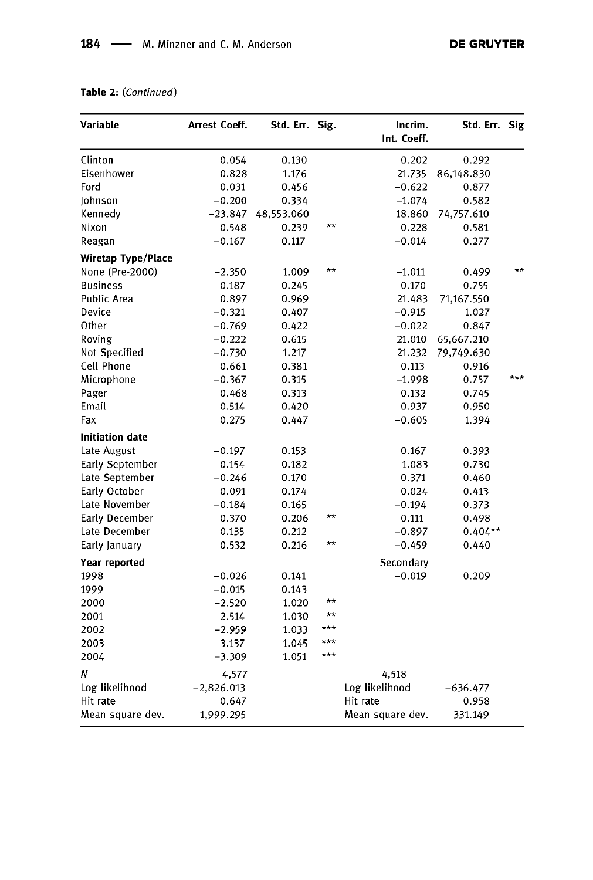| <b>Variable</b>           | Arrest Coeff. | Std. Err. Sig. |       | Incrim.<br>Int. Coeff. | Std. Err. Sig |       |
|---------------------------|---------------|----------------|-------|------------------------|---------------|-------|
| Clinton                   | 0.054         | 0.130          |       | 0.202                  | 0.292         |       |
| Eisenhower                | 0.828         | 1.176          |       | 21.735                 | 86,148.830    |       |
| Ford                      | 0.031         | 0.456          |       | $-0.622$               | 0.877         |       |
| Johnson                   | $-0.200$      | 0.334          |       | $-1.074$               | 0.582         |       |
| Kennedy                   | $-23.847$     | 48,553.060     |       | 18.860                 | 74,757.610    |       |
| Nixon                     | $-0.548$      | 0.239          | $***$ | 0.228                  | 0.581         |       |
| Reagan                    | $-0.167$      | 0.117          |       | $-0.014$               | 0.277         |       |
| <b>Wiretap Type/Place</b> |               |                |       |                        |               |       |
| None (Pre-2000)           | $-2.350$      | 1.009          | $***$ | $-1.011$               | 0.499         | $***$ |
| <b>Business</b>           | $-0.187$      | 0.245          |       | 0.170                  | 0.755         |       |
| Public Area               | 0.897         | 0.969          |       | 21.483                 | 71,167.550    |       |
| Device                    | $-0.321$      | 0.407          |       | $-0.915$               | 1.027         |       |
| Other                     | $-0.769$      | 0.422          |       | $-0.022$               | 0.847         |       |
| Roving                    | $-0.222$      | 0.615          |       | 21.010                 | 65,667.210    |       |
| Not Specified             | $-0.730$      | 1.217          |       | 21.232                 | 79,749.630    |       |
| Cell Phone                | 0.661         | 0.381          |       | 0.113                  | 0.916         |       |
| Microphone                | $-0.367$      | 0.315          |       | $-1.998$               | 0.757         | $***$ |
| Pager                     | 0.468         | 0.313          |       | 0.132                  | 0.745         |       |
| Email                     | <b>OE14</b>   | <b>0.400</b>   |       | רכה ה                  | n nen         |       |

#### **Table 2:** (Continued)

| Mean square dev.            | 1,999.295            |                |       | Mean square dev. | 331.149                  |              |
|-----------------------------|----------------------|----------------|-------|------------------|--------------------------|--------------|
| Hit rate                    | 0.647                |                |       | Hit rate         | 0.958                    |              |
| Log likelihood              | $-2,826.013$         |                |       | Log likelihood   | $-636.477$               |              |
| N                           | 4,577                |                |       | 4,518            |                          |              |
| 2004                        | $-3.309$             | 1.051          | ***   |                  |                          |              |
| 2003                        | $-3.137$             | 1.045          | ***   |                  |                          |              |
| 2002                        | $-2.959$             | 1.033          | ***   |                  |                          |              |
| 2001                        | $-2.514$             | 1.030          | $***$ |                  |                          |              |
| 2000                        | $-2.520$             | 1.020          | $***$ |                  |                          |              |
| 1999                        | $-0.015$             | 0.143          |       |                  |                          |              |
| 1998                        | $-0.026$             | 0.141          |       | $-0.019$         | 0.209                    |              |
| Year reported               |                      |                |       | Secondary        |                          |              |
| Early January               | 0.532                | 0.216          | $***$ | $-0.459$         | 0.440                    |              |
| Late December               | 0.135                | 0.212          |       | $-0.897$         | $0.404**$                |              |
| Early December              | 0.370                | 0.206          | $***$ | 0.111            | 0.498                    |              |
| Late November               | $-0.184$             | 0.165          |       | $-0.194$         | 0.373                    |              |
| Early October               | $-0.091$             | 0.174          |       | 0.024            | 0.413                    |              |
| Late September              | $-0.246$             | 0.170          |       | 0.371            | 0.460                    |              |
| Early September             | $-0.154$             | 0.182          |       | 1.083            | 0.730                    |              |
| Late August                 | $-0.197$             | 0.153          |       | 0.167            | 0.393                    |              |
| <b>Initiation date</b>      |                      |                |       |                  |                          |              |
| Fax                         | 0.275                | 0.447          |       | $-0.605$         | 1.394                    |              |
| Email                       | 0.514                | 0.420          |       | $-0.937$         | 0.950                    |              |
| Pager                       | 0.468                | 0.313          |       | 0.132            | 0.745                    |              |
| Microphone                  | $-0.367$             | 0.315          |       | $-1.998$         | 0.757                    | ***          |
| Not Specified<br>Cell Phone | 0.661                | 0.381          |       | 0.113            | 0.916                    |              |
| Roving                      | $-0.222$<br>$-0.730$ | 0.615<br>1.217 |       | 21.010<br>21.232 | 65,667.210<br>79,749.630 |              |
| Other                       | $-0.769$             | 0.422          |       | $-0.022$         | 0.847                    |              |
| Device                      | $-0.321$             | 0.407          |       | $-0.915$         | 1.027                    |              |
| Public Area                 | 0.897                | 0.969          |       | 21.483           | 71,167.550               |              |
| <b>Business</b>             | $-0.187$             | 0.245          |       | 0.170            | 0.755                    |              |
| None (Pre-2000)             | $-2.350$             | 1.009          | $***$ | $-1.011$         | 0.499                    | $\star\star$ |
| <b>THERE IS DESTING</b>     |                      |                |       |                  |                          |              |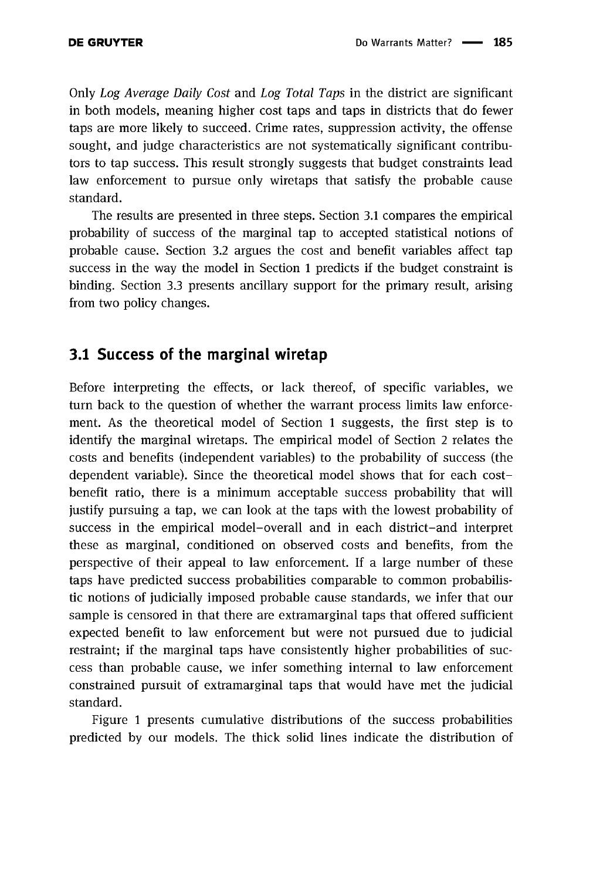Only Log Average Daily Cost and Log Total Taps in the district are significant in both models, meaning higher cost taps and taps in districts that do fewer taps are more likely to succeed. Crime rates, suppression activity, the offense sought, and judge characteristics are not systematically significant contributors to tap success. This result strongly suggests that budget constraints lead law enforcement to pursue only wiretaps that satisfy the probable cause standard.

The results are presented in three steps. Section 3.1 compares the empirical probability of success of the marginal tap to accepted statistical notions of probable cause. Section 3.2 argues the cost and benefit variables affect tap success in the way the model in Section **1** predicts if the budget constraint is binding. Section 3.3 presents ancillary support for the primary result, arising from two policy changes.

## **3.1 Success of the marginal wiretap**

Before interpreting the effects, or lack thereof, of specific variables, we turn back to the question of whether the warrant process limits law enforcement. As the theoretical model of Section **1** suggests, the first step is to identify the marginal wiretaps. The empirical model of Section 2 relates the costs and benefits (independent variables) to the probability of success (the dependent variable). Since the theoretical model shows that for each costbenefit ratio, there is a minimum acceptable success probability that will justify pursuing a tap, we can look at the taps with the lowest probability of success in the empirical model-overall and in each district-and interpret these as marginal, conditioned on observed costs and benefits, from the perspective of their appeal to law enforcement. If a large number of these taps have predicted success probabilities comparable to common probabilistic notions of judicially imposed probable cause standards, we infer that our sample is censored in that there are extramarginal taps that offered sufficient expected benefit to law enforcement but were not pursued due to judicial restraint; if the marginal taps have consistently higher probabilities of success than probable cause, we infer something internal to law enforcement constrained pursuit of extramarginal taps that would have met the judicial standard.

Figure **1** presents cumulative distributions of the success probabilities predicted by our models. The thick solid lines indicate the distribution of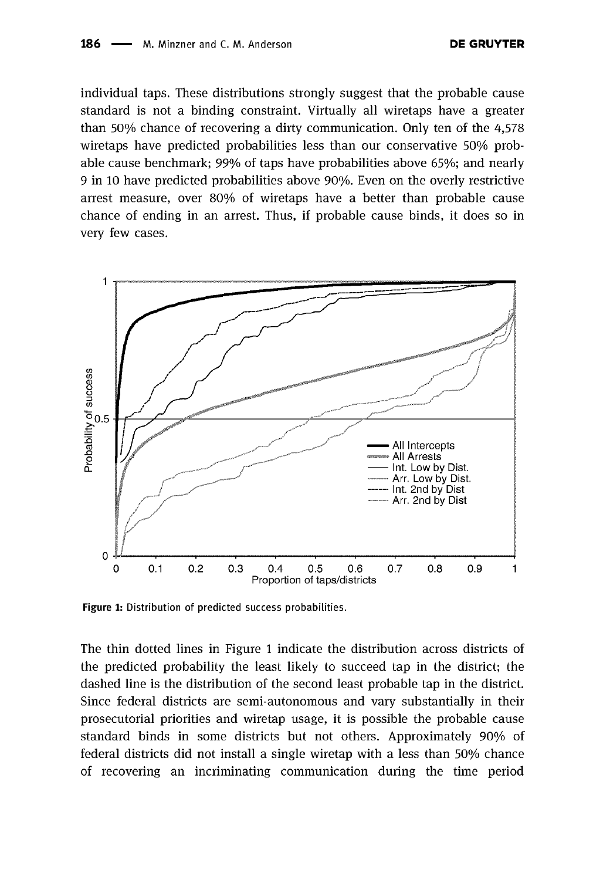individual taps. These distributions strongly suggest that the probable cause standard is not a binding constraint. Virtually all wiretaps have a greater than 50% chance of recovering a dirty communication. Only ten of the 4,578 wiretaps have predicted probabilities less than our conservative 50% probable cause benchmark; 99% of taps have probabilities above  $65\%$ ; and nearly 9 in 10 have predicted probabilities above 90%. Even on the overly restrictive arrest measure, over 80% of wiretaps have a better than probable cause chance of ending in an arrest. Thus, if probable cause binds, it does so in very few cases.



**Figure 1:** Distribution of predicted success probabilities.

The thin dotted lines in Figure 1 indicate the distribution across districts of the predicted probability the least likely to succeed tap in the district; the dashed line is the distribution of the second least probable tap in the district. Since federal districts are semi-autonomous and vary substantially in their prosecutorial priorities and wiretap usage, it is possible the probable cause standard binds in some districts but not others. Approximately 90% of federal districts did not install a single wiretap with a less than 50% chance of recovering an incriminating communication during the time period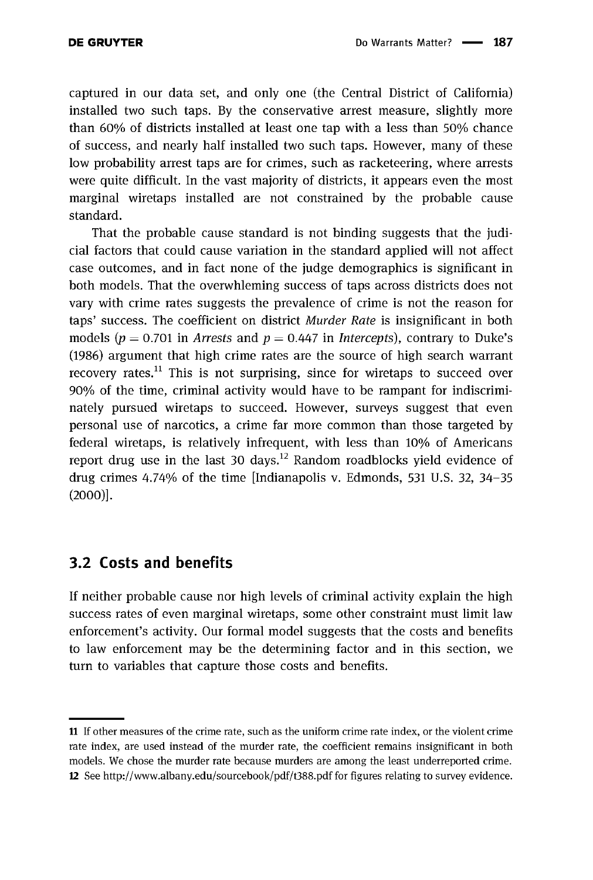captured in our data set, and only one (the Central District of California) installed two such taps. By the conservative arrest measure, slightly more than 60% of districts installed at least one tap with a less than 50% chance of success, and nearly half installed two such taps. However, many of these low probability arrest taps are for crimes, such as racketeering, where arrests were quite difficult. In the vast majority of districts, it appears even the most marginal wiretaps installed are not constrained by the probable cause standard.

That the probable cause standard is not binding suggests that the judicial factors that could cause variation in the standard applied will not affect case outcomes, and in fact none of the judge demographics is significant in both models. That the overwhleming success of taps across districts does not vary with crime rates suggests the prevalence of crime is not the reason for taps' success. The coefficient on district *Murder Rate* is insignificant in both models ( $p = 0.701$  in *Arrests* and  $p = 0.447$  in *Intercepts*), contrary to Duke's (1986) argument that high crime rates are the source of high search warrant recovery rates.<sup>11</sup> This is not surprising, since for wiretaps to succeed over 90% of the time, criminal activity would have to be rampant for indiscriminately pursued wiretaps to succeed. However, surveys suggest that even personal use of narcotics, a crime far more common than those targeted by federal wiretaps, is relatively infrequent, with less than 10% of Americans report drug use in the last 30 days.<sup>12</sup> Random roadblocks yield evidence of drug crimes  $4.74\%$  of the time [Indianapolis v. Edmonds, 531 U.S. 32, 34-35] (2000)].

## **3.2 Costs and benefits**

If neither probable cause nor high levels of criminal activity explain the high success rates of even marginal wiretaps, some other constraint must limit law enforcement's activity. Our formal model suggests that the costs and benefits to law enforcement may be the determining factor and in this section, we turn to variables that capture those costs and benefits.

**<sup>11</sup>** If other measures of the crime rate, such as the uniform crime rate index, or the violent crime rate index, are used instead of the murder rate, the coefficient remains insignificant in both models. We chose the murder rate because murders are among the least underreported crime. **12** See http://www.albany.edu/sourcebook/pdf/t388.pdf for figures relating to survey evidence.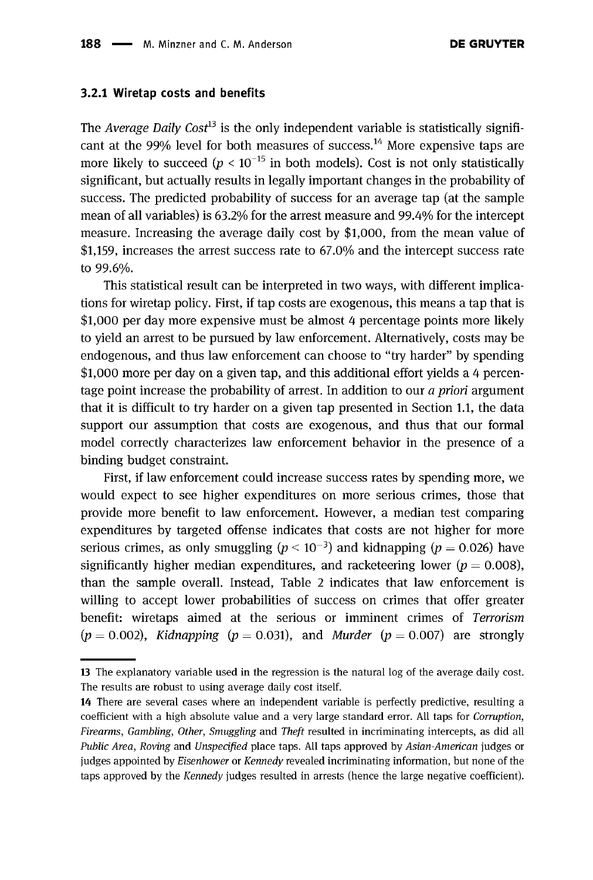#### **3.2.1 Wiretap costs and benefits**

The Average Daily Cost<sup>13</sup> is the only independent variable is statistically significant at the 99% level for both measures of success.<sup>14</sup> More expensive taps are more likely to succeed ( $p < 10^{-15}$  in both models). Cost is not only statistically significant, but actually results in legally important changes in the probability of success. The predicted probability of success for an average tap (at the sample mean of all variables) is 63.2% for the arrest measure and 99.4% for the intercept measure. Increasing the average daily cost by \$1,000, from the mean value of \$1,159, increases the arrest success rate to 67.0% and the intercept success rate to 99.6%.

This statistical result can be interpreted in two ways, with different implications for wiretap policy. First, if tap costs are exogenous, this means a tap that is \$1,000 per day more expensive must be almost 4 percentage points more likely to yield an arrest to be pursued by law enforcement. Alternatively, costs may be endogenous, and thus law enforcement can choose to "try harder" by spending \$1,000 more per day on a given tap, and this additional effort yields a 4 percentage point increase the probability of arrest. In addition to our  $a$  priori argument that it is difficult to try harder on a given tap presented in Section 1.1, the data support our assumption that costs are exogenous, and thus that our formal model correctly characterizes law enforcement behavior in the presence of a binding budget constraint.

First, if law enforcement could increase success rates by spending more, we would expect to see higher expenditures on more serious crimes, those that provide more benefit to law enforcement. However, a median test comparing expenditures by targeted offense indicates that costs are not higher for more serious crimes, as only smuggling ( $p < 10^{-3}$ ) and kidnapping ( $p = 0.026$ ) have significantly higher median expenditures, and racketeering lower ( $p = 0.008$ ), than the sample overall. Instead, Table 2 indicates that law enforcement is willing to accept lower probabilities of success on crimes that offer greater benefit: wiretaps aimed at the serious or imminent crimes of Terrorism  $(p = 0.002)$ , Kidnapping  $(p = 0.031)$ , and Murder  $(p = 0.007)$  are strongly

**<sup>13</sup>** The explanatory variable used in the regression is the natural log of the average daily cost. The results are robust to using average daily cost itself.

**<sup>14</sup>** There are several cases where an independent variable is perfectly predictive, resulting a coefficient with a high absolute value and a very large standard error. All taps for Corruption, Firearms, Gambling, Other, Smuggling and Theft resulted in incriminating intercepts, as did all Public Area, Roving and Unspecified place taps. All taps approved by Asian-American judges or judges appointed by Eisenhower or Kennedy revealed incriminating information, but none of the taps approved by the Kennedy judges resulted in arrests (hence the large negative coefficient).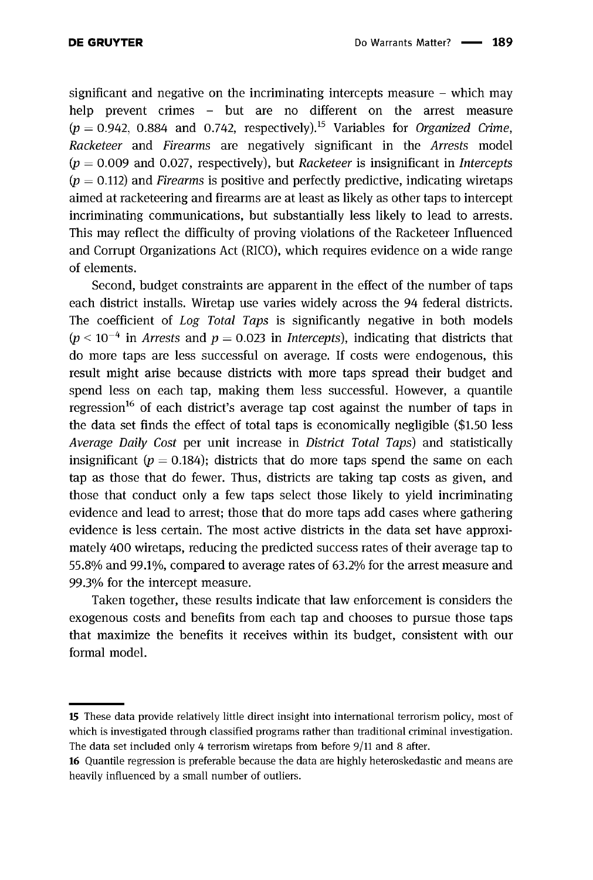significant and negative on the incriminating intercepts measure  $-$  which may help prevent crimes - but are no different on the arrest measure  $(p = 0.942, 0.884, 0.742,$  respectively).<sup>15</sup> Variables for *Organized Crime*, *Racketeer* and *Firearms* are negatively significant in the *Arrests* model (p = 0.009 and 0.027, respectively), but *Racketeer* is insignificant in *Intercepts*   $(p = 0.112)$  and *Firearms* is positive and perfectly predictive, indicating wiretaps aimed at racketeering and firearms are at least as likely as other taps to intercept incriminating communications, but substantially less likely to lead to arrests. This may reflect the difficulty of proving violations of the Racketeer Influenced and Corrupt Organizations Act (RICO), which requires evidence on a wide range of elements.

Second, budget constraints are apparent in the effect of the number of taps each district installs. Wiretap use varies widely across the 94 federal districts. The coefficient of *Log Total Taps* is significantly negative in both models  $(p < 10^{-4}$  in *Arrests* and  $p = 0.023$  in *Intercepts*), indicating that districts that do more taps are less successful on average. If costs were endogenous, this result might arise because districts with more taps spread their budget and spend less on each tap, making them less successful. However, a quantile regression<sup>16</sup> of each district's average tap cost against the number of taps in the data set finds the effect of total taps is economically negligible (\$1.50 less *Average Daily Cost* per unit increase in *District Total Taps)* and statistically insignificant ( $p = 0.184$ ); districts that do more taps spend the same on each tap as those that do fewer. Thus, districts are taking tap costs as given, and those that conduct only a few taps select those likely to yield incriminating evidence and lead to arrest; those that do more taps add cases where gathering evidence is less certain. The most active districts in the data set have approximately 400 wiretaps, reducing the predicted success rates of their average tap to 55.8% and 99.1%, compared to average rates of  $63.2%$  for the arrest measure and 99.3% for the intercept measure.

Taken together, these results indicate that law enforcement is considers the exogenous costs and benefits from each tap and chooses to pursue those taps that maximize the benefits it receives within its budget, consistent with our formal model.

**<sup>15</sup>** These data provide relatively little direct insight into international terrorism policy, most of which is investigated through classified programs rather than traditional criminal investigation. The data set included only 4 terrorism wiretaps from before 9/11 and 8 after.

**<sup>16</sup>** Quantile regression is preferable because the data are highly heteroskedastic and means are heavily influenced by a small number of outliers.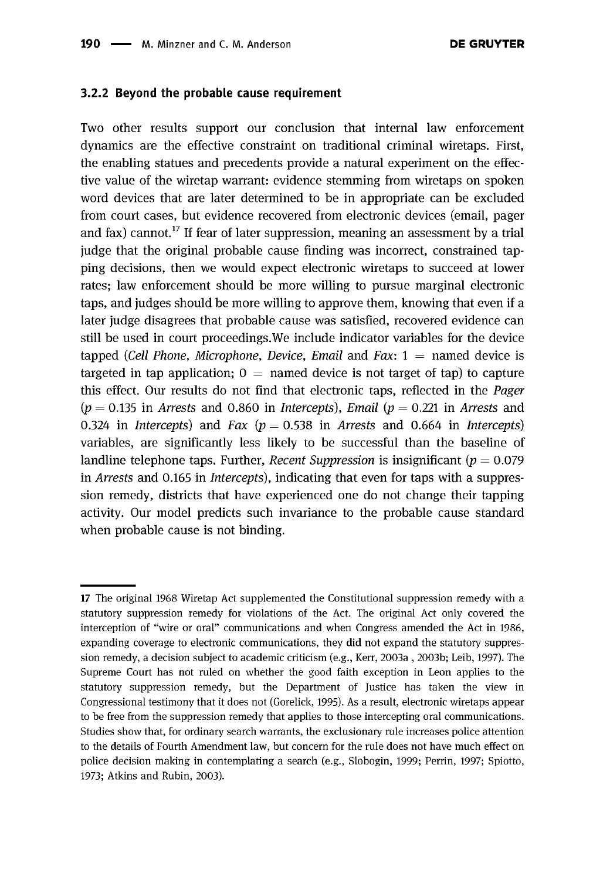#### **3.2.2 Beyond the probable cause requirement**

Two other results support our conclusion that internal law enforcement dynamics are the effective constraint on traditional criminal wiretaps. First, the enabling statues and precedents provide a natural experiment on the effective value of the wiretap warrant: evidence stemming from wiretaps on spoken word devices that are later determined to be in appropriate can be excluded from court cases, but evidence recovered from electronic devices (email, pager and fax) cannot.<sup>17</sup> If fear of later suppression, meaning an assessment by a trial judge that the original probable cause finding was incorrect, constrained tapping decisions, then we would expect electronic wiretaps to succeed at lower rates; law enforcement should be more willing to pursue marginal electronic taps, and judges should be more willing to approve them, knowing that even if a later judge disagrees that probable cause was satisfied, recovered evidence can still be used in court proceedings.We include indicator variables for the device tapped (Cell *Phone, Microphone, Device, Email* and *Fax:* l = named device is targeted in tap application;  $0 =$  named device is not target of tap) to capture this effect. Our results do not find that electronic taps, reflected in the *Pager*   $(p = 0.135$  in *Arrests* and 0.860 in *Intercepts*), *Email*  $(p = 0.221$  in *Arrests* and 0.324 in *Intercepts*) and *Fax*  $(p = 0.538$  in *Arrests* and 0.664 in *Intercepts*) variables, are significantly less likely to be successful than the baseline of landline telephone taps. Further, *Recent Suppression* is insignificant  $(p = 0.079)$ in *Arrests* and 0.165 in *Intercepts),* indicating that even for taps with a suppression remedy, districts that have experienced one do not change their tapping activity. Our model predicts such invariance to the probable cause standard when probable cause is not binding.

**<sup>17</sup>** The original 1968 Wiretap Act supplemented the Constitutional suppression remedy with a statutory suppression remedy for violations of the Act. The original Act only covered the interception of "wire or oral" communications and when Congress amended the Act in 1986, expanding coverage to electronic communications, they **did** not expand the statutory suppression remedy, a decision subject to academic criticism (e.g., Kerr, 2003a, 2003b; Leib, 1997). The Supreme Court has not ruled on whether the good faith exception in Leon applies to the statutory suppression remedy, but the Department of Justice has taken the view in Congressional testimony that it does not (Gorelick, 1995). As a result, electronic wiretaps appear to be free from the suppression remedy that applies to those intercepting oral communications. Studies show that, for ordinary search warrants, the exclusionary rule increases police attention to the details of Fourth Amendment law, but concern for the rule does not have much effect on police decision making in contemplating a search (e.g., Slobogin, 1999; Perrin, 1997; Spiotta, 1973; Atkins and Rubin, 2003).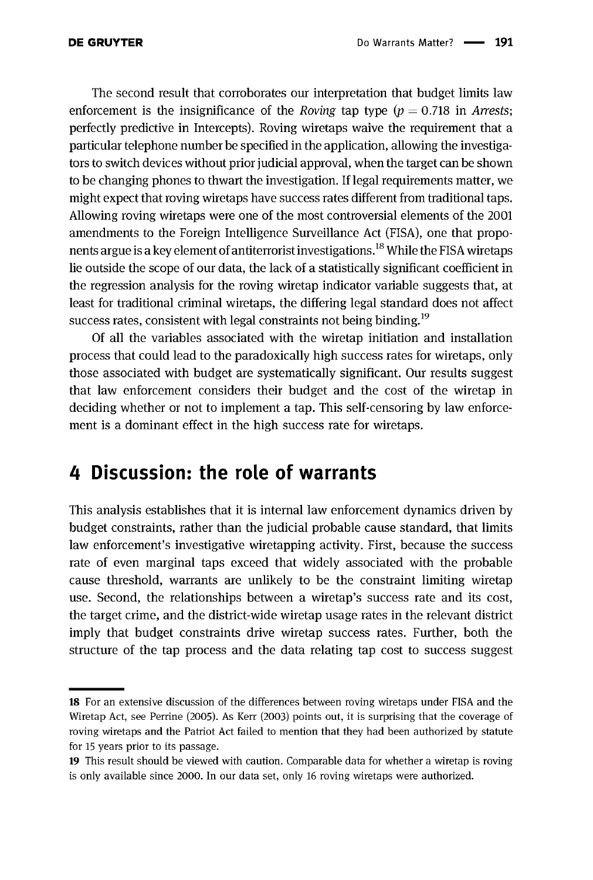The second result that corroborates our interpretation that budget limits law enforcement is the insignificance of the *Roving* tap type  $(p = 0.718$  in *Arrests*; perfectly predictive in Intercepts). Roving wiretaps waive the requirement that a particular telephone number be specified in the application, allowing the investigators to switch devices without prior judicial approval, when the target can be shown to be changing phones to thwart the investigation. Iflegal requirements matter, we might expect that roving wiretaps have success rates different from traditional taps. Allowing roving wiretaps were one of the most controversial elements of the 2001 amendments to the Foreign Intelligence Surveillance Act (FISA), one that proponents argue is a key element of antiterrorist investigations.<sup>18</sup> While the FISA wiretaps lie outside the scope of our data, the lack of a statistically significant coefficient in the regression analysis for the roving wiretap indicator variable suggests that, at least for traditional criminal wiretaps, the differing legal standard does not affect success rates, consistent with legal constraints not being binding.<sup>19</sup>

Of all the variables associated with the wiretap initiation and installation process that could lead to the paradoxically high success rates for wiretaps, only those associated with budget are systematically significant. Our results suggest that law enforcement considers their budget and the cost of the wiretap in deciding whether or not to implement a tap. This self-censoring by law enforcement is a dominant effect in the high success rate for wiretaps.

# **4 Discussion: the role of warrants**

This analysis establishes that it is internal law enforcement dynamics driven by budget constraints, rather than the judicial probable cause standard, that limits law enforcement's investigative wiretapping activity. First, because the success rate of even marginal taps exceed that widely associated with the probable cause threshold, warrants are unlikely to be the constraint limiting wiretap use. Second, the relationships between a wiretap's success rate and its cost, the target crime, and the district-wide wiretap usage rates in the relevant district imply that budget constraints drive wiretap success rates. Further, both the structure of the tap process and the data relating tap cost to success suggest

**<sup>18</sup>** For an extensive discussion of the differences between roving wiretaps under FISA and the Wiretap Act, see Perrine (2005). As Kerr (2003) points out, it is surprising that the coverage of roving wiretaps and the Patriot Act failed to mention that they had been authorized by statute for 15 years prior to its passage.

**<sup>19</sup>** This result should be viewed with caution. Comparable data for whether a wiretap is roving is only available since 2000. In our data set, only 16 roving wiretaps were authorized.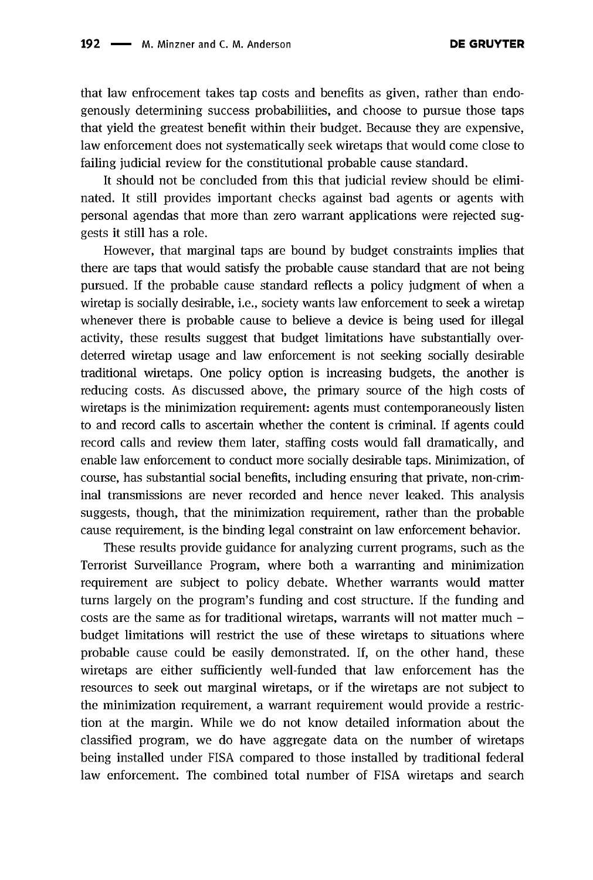that law enfrocement takes tap costs and benefits as given, rather than endogenously determining success probabiliities, and choose to pursue those taps that yield the greatest benefit within their budget. Because they are expensive, law enforcement does not systematically seek wiretaps that would come close to failing judicial review for the constitutional probable cause standard.

It should not be concluded from this that judicial review should be eliminated. It still provides important checks against bad agents or agents with personal agendas that more than zero warrant applications were rejected suggests it still has a role.

However, that marginal taps are bound by budget constraints implies that there are taps that would satisfy the probable cause standard that are not being pursued. If the probable cause standard reflects a policy judgment of when a wiretap is socially desirable, i.e., society wants law enforcement to seek a wiretap whenever there is probable cause to believe a device is being used for illegal activity, these results suggest that budget limitations have substantially overdeterred wiretap usage and law enforcement is not seeking socially desirable traditional wiretaps. One policy option is increasing budgets, the another is reducing costs. As discussed above, the primary source of the high costs of wiretaps is the minimization requirement: agents must contemporaneously listen to and record calls to ascertain whether the content is criminal. If agents could record calls and review them later, staffing costs would fall dramatically, and enable law enforcement to conduct more socially desirable taps. Minimization, of course, has substantial social benefits, including ensuring that private, non-criminal transmissions are never recorded and hence never leaked. This analysis suggests, though, that the minimization requirement, rather than the probable cause requirement, is the binding legal constraint on law enforcement behavior.

These results provide guidance for analyzing current programs, such as the Terrorist Surveillance Program, where both a warranting and minimization requirement are subject to policy debate. Whether warrants would matter turns largely on the program's funding and cost structure. If the funding and costs are the same as for traditional wiretaps, warrants will not matter much  $$ budget limitations will restrict the use of these wiretaps to situations where probable cause could be easily demonstrated. If, on the other hand, these wiretaps are either sufficiently well-funded that law enforcement has the resources to seek out marginal wiretaps, or if the wiretaps are not subject to the minimization requirement, a warrant requirement would provide a restriction at the margin. While we do not know detailed information about the classified program, we do have aggregate data on the number of wiretaps being installed under FISA compared to those installed by traditional federal law enforcement. The combined total number of FISA wiretaps and search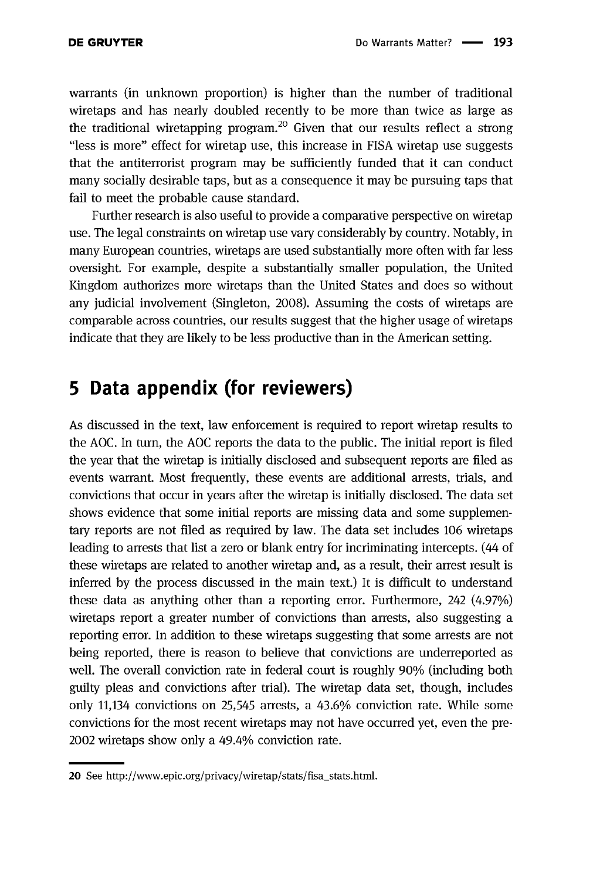warrants (in unknown proportion) is higher than the number of traditional wiretaps and has nearly doubled recently to be more than twice as large as the traditional wiretapping program.<sup>20</sup> Given that our results reflect a strong "less is more" effect for wiretap use, this increase in FISA wiretap use suggests that the antiterrorist program may be sufficiently funded that it can conduct many socially desirable taps, but as a consequence it may be pursuing taps that fail to meet the probable cause standard.

Further research is also useful to provide a comparative perspective on wiretap use. The legal constraints on wiretap use vary considerably by country. Notably, in many European countries, wiretaps are used substantially more often with far less oversight. For example, despite a substantially smaller population, the United Kingdom authorizes more wiretaps than the United States and does so without any judicial involvement (Singleton, 2008). Assuming the costs of wiretaps are comparable across countries, our results suggest that the higher usage of wiretaps indicate that they are likely to be less productive than in the American setting.

# **5 Data appendix (for reviewers)**

As discussed in the text, law enforcement is required to report wiretap results to the AOC. In turn, the AOC reports the data to the public. The initial report is filed the year that the wiretap is initially disclosed and subsequent reports are filed as events warrant. Most frequently, these events are additional arrests, trials, and convictions that occur in years after the wiretap is initially disclosed. The data set shows evidence that some initial reports are missing data and some supplementary reports are not filed as required by law. The data set includes 106 wiretaps leading to arrests that list a zero or blank entry for incriminating intercepts. (44 of these wiretaps are related to another wiretap and, as a result, their arrest result is inferred by the process discussed in the main text.) It is difficult to understand these data as anything other than a reporting error. Furthermore,  $242 \ (4.97\%)$ wiretaps report a greater number of convictions than arrests, also suggesting a reporting error. In addition to these wiretaps suggesting that some arrests are not being reported, there is reason to believe that convictions are underreported as well. The overall conviction rate in federal court is roughly 90% (including both guilty pleas and convictions after trial). The wiretap data set, though, includes only 11,134 convictions on 25,545 arrests, a  $43.6\%$  conviction rate. While some convictions for the most recent wiretaps may not have occurred yet, even the pre-2002 wiretaps show only a 49.4% conviction rate.

**<sup>20</sup>** See http://www.epic.org/privacy/wiretap/stats/fisa\_stats.html.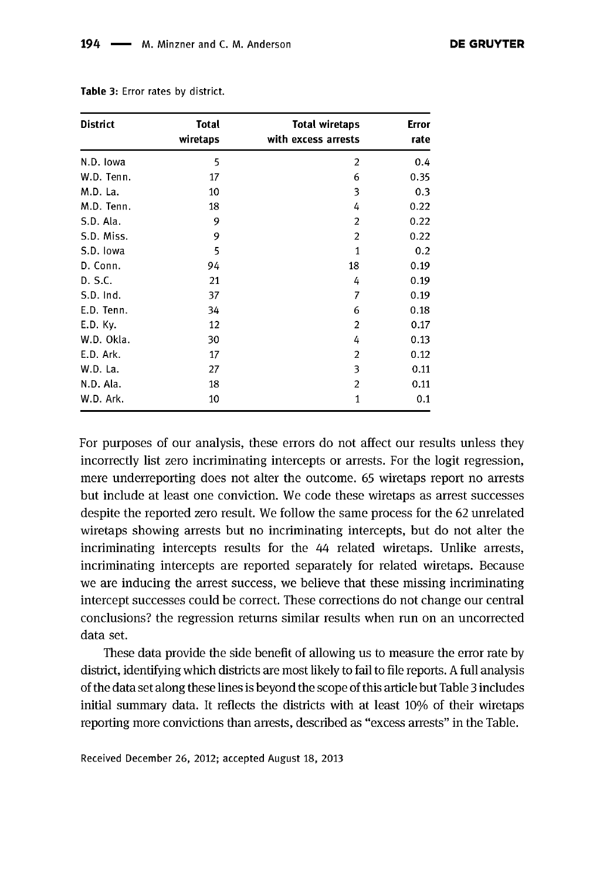| <b>District</b> | <b>Total</b><br>wiretaps | <b>Total wiretaps</b><br>with excess arrests | Error<br>rate |
|-----------------|--------------------------|----------------------------------------------|---------------|
| N.D. Iowa       | 5                        | $\overline{c}$                               | 0.4           |
| W.D. Tenn.      | 17                       | 6                                            | 0.35          |
| M.D. La.        | 10                       | 3                                            | 0.3           |
| M.D. Tenn.      | 18                       | 4                                            | 0.22          |
| S.D. Ala.       | 9                        | $\overline{2}$                               | 0.22          |
| S.D. Miss.      | 9                        | $\overline{2}$                               | 0.22          |
| S.D. lowa       | 5                        | $\mathbf{1}$                                 | 0.2           |
| D. Conn.        | 94                       | 18                                           | 0.19          |
| D. S.C.         | 21                       | 4                                            | 0.19          |
| S.D. Ind.       | 37                       | 7                                            | 0.19          |
| E.D. Tenn.      | 34                       | 6                                            | 0.18          |
| E.D. Ky.        | 12                       | $\overline{2}$                               | 0.17          |
| W.D. Okla.      | 30                       | 4                                            | 0.13          |
| E.D. Ark.       | 17                       | 2                                            | 0.12          |
| W.D. La.        | 27                       | 3                                            | 0.11          |
| N.D. Ala.       | 18                       | $\overline{2}$                               | 0.11          |
| W.D. Ark.       | 10                       | $\mathbf{1}$                                 | 0.1           |

**Table 3:** Error rates by district.

For purposes of our analysis, these errors do not affect our results unless they incorrectly list zero incriminating intercepts or arrests. For the logit regression, mere underreporting does not alter the outcome. 65 wiretaps report no arrests but include at least one conviction. We code these wiretaps as arrest successes despite the reported zero result. We follow the same process for the 62 unrelated wiretaps showing arrests but no incriminating intercepts, but do not alter the incriminating intercepts results for the 44 related wiretaps. Unlike arrests, incriminating intercepts are reported separately for related wiretaps. Because we are inducing the arrest success, we believe that these missing incriminating intercept successes could be correct. These corrections do not change our central conclusions? the regression returns similar results when run on an uncorrected data set.

These data provide the side benefit of allowing us to measure the error rate by district, identifying which districts are most likely to fail to file reports. A full analysis of the data set along these lines is beyond the scope of this article but Table 3 includes initial summary data. It reflects the districts with at least 10% of their wiretaps reporting more convictions than arrests, described as "excess arrests" in the Table.

Received December 26, 2012; accepted August 18, 2013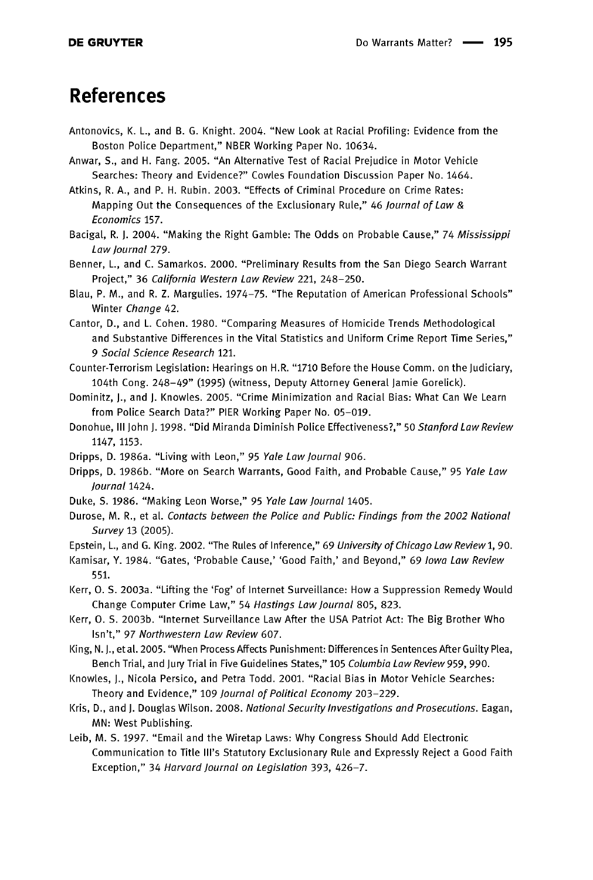## **References**

- Antonovics, K. L., and B. G. Knight. 2004. "New Look at Racial Profiling: Evidence from the Boston Police Department," NBER Working Paper No. 10634.
- Anwar, 5., and H. Fang. 2005. "An Alternative Test of Racial Prejudice in Motor Vehicle Searches: Theory and Evidence?" Cowles Foundation Discussion Paper No. 1464.

Atkins, R. A., and P. H. Rubin. 2003. "Effects of Criminal Procedure on Crime Rates: Mapping Out the Consequences of the Exclusionary Rule," 46 *Journal of Law* & *Economics* 157.

Bacigal, R. J. 2004. "Making the Right Gamble: The Odds on Probable Cause," 74 *Mississippi Law Journal* 279.

Benner, L., and C. Samarkos. 2000. "Preliminary Results from the San Diego Search Warrant Project," 36 *California Western Law Review* 221, 248-250.

- Blau, P. M., and R. Z. Margulies. 1974-75. "The Reputation of American Professional Schools" Winter *Change* 42.
- Cantor, D., and L. Cohen. 1980. "Comparing Measures of Homicide Trends Methodological and Substantive Differences in the Vital Statistics and Uniform Crime Report Time Series," 9 *Social Science Research* 121.
- Counter-Terrorism Legislation: Hearings on H.R. "1710 Before the House Comm. on the Judiciary, 104th Cong. 248-49" (1995) (witness, Deputy Attorney General Jamie Gorelick).
- Dominitz, J., and J. Knowles. 2005. "Crime Minimization and Racial Bias: What Can We Learn from Police Search Data?" PIER Working Paper No. 05-019.
- Donohue, Ill John J. 1998. "Did Miranda Diminish Police Effectiveness?," 50 *Stanford Law Review*  1147, 1153.
- Dripps, D. 1986a. "Living with Leon," 95 *Yale Law Journal* 906.
- Dripps, D. 1986b. "More on Search Warrants, Good Faith, and Probable Cause," 95 *Yale Law Journal* 1424.
- Duke, 5. 1986. "Making Leon Worse," 95 *Yale Law Journal* 1405.
- Durose, M. R., et al. *Contacts between the Police and Public: Findings from the 2002 National Survey* 13 (2005).
- Epstein, L., and G. King. 2002. "The Rules of Inference," 69 *University of Chicago Law Review* 1, 90.
- Kamisar, Y. 1984. "Gates, 'Probable Cause,' 'Good Faith,' and Beyond," 69 *Iowa Law Review*  551.

Kerr, 0. 5. 2003a. "Lifting the 'Fog' of Internet Surveillance: How a Suppression Remedy Would Change Computer Crime Law," 54 *Hastings Law Journal* 805, 823.

- Kerr, 0. 5. 2003b. "Internet Surveillance Law After the USA Patriot Act: The Big Brother Who Isn't," 97 *Northwestern Law Review* 607.
- King, N. J., et al. 2005. "When Process Affects Punishment: Differences in Sentences After Guilty Plea, Bench Trial, and Jury Trial in Five Guidelines States," 105 *Columbia Law Review* 959, 990.
- Knowles, J., Nicola Persico, and Petra Todd. 2001. "Racial Bias in Motor Vehicle Searches: Theory and Evidence," 109 *Journal of Political Economy* 203-229.
- Kris, D., and J. Douglas Wilson. 2008. *National Security Investigations and Prosecutions.* Eagan, MN: West Publishing.
- Leib, M. 5. 1997. "Email and the Wiretap Laws: Why Congress Should Add Electronic Communication to Title Ill's Statutory Exclusionary Rule and Expressly Reject a Good Faith Exception," 34 *Harvard Journal on Legislation* 393, 426-7.